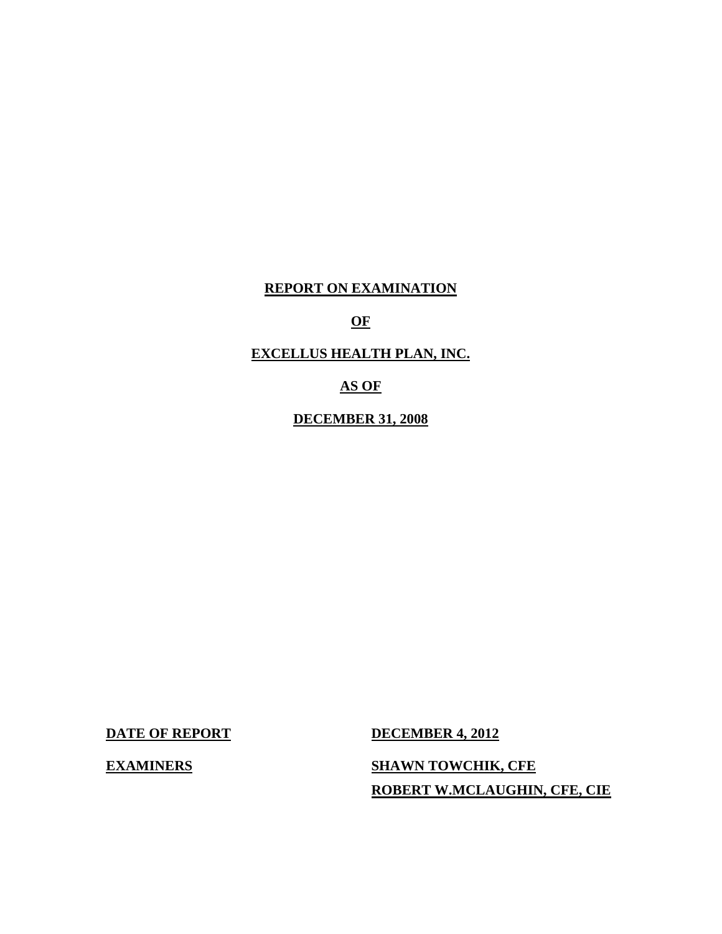## **REPORT ON EXAMINATION**

## **OF**

## **EXCELLUS HEALTH PLAN, INC.**

## **AS OF**

**DECEMBER 31, 2008** 

**DATE OF REPORT DECEMBER 4, 2012** 

**EXAMINERS** SHAWN TOWCHIK, CFE **ROBERT W.MCLAUGHIN, CFE, CIE**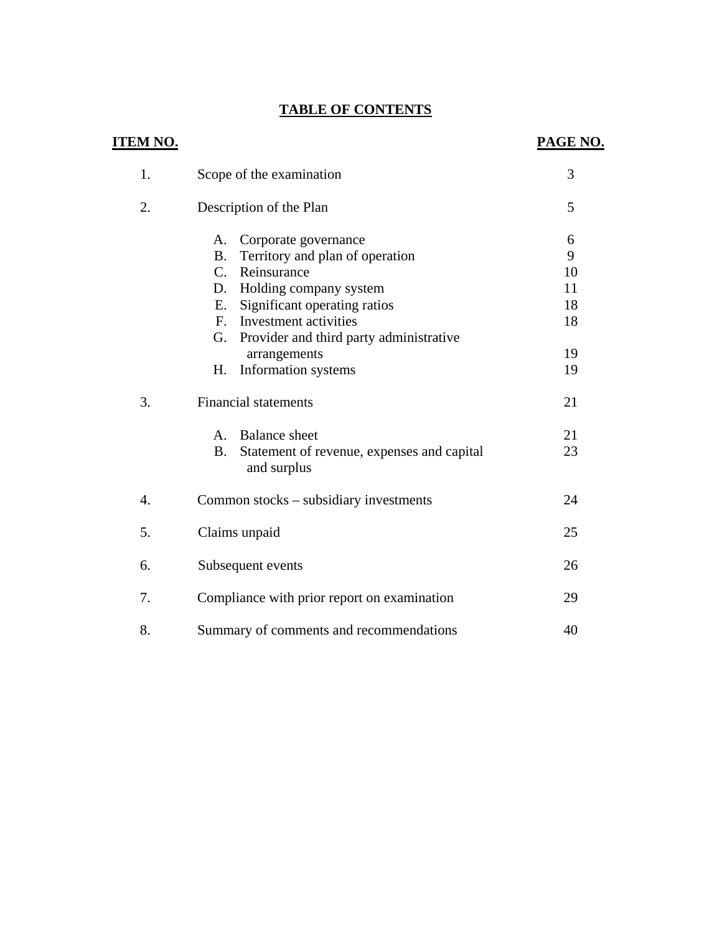## **TABLE OF CONTENTS**

| <u>ITEM NO.</u>  |                                                                        | PAGE NO. |
|------------------|------------------------------------------------------------------------|----------|
| 1.               | Scope of the examination                                               | 3        |
| 2.               | Description of the Plan                                                | 5        |
|                  | Corporate governance<br>А.                                             | 6        |
|                  | Territory and plan of operation<br><b>B.</b>                           | 9        |
|                  | C. Reinsurance                                                         | 10       |
|                  | D. Holding company system                                              | 11       |
|                  | Significant operating ratios<br>E.                                     | 18       |
|                  | F. Investment activities                                               | 18       |
|                  | G. Provider and third party administrative                             |          |
|                  | arrangements                                                           | 19       |
|                  | Information systems<br>Н.                                              | 19       |
| 3.               | <b>Financial statements</b>                                            | 21       |
|                  | <b>Balance</b> sheet<br>A.                                             | 21       |
|                  | Statement of revenue, expenses and capital<br><b>B.</b><br>and surplus | 23       |
| $\overline{4}$ . | Common stocks – subsidiary investments                                 | 24       |
| 5.               | Claims unpaid                                                          | 25       |
| 6.               | Subsequent events                                                      | 26       |
| 7.               | Compliance with prior report on examination                            | 29       |
| 8.               | Summary of comments and recommendations                                | 40       |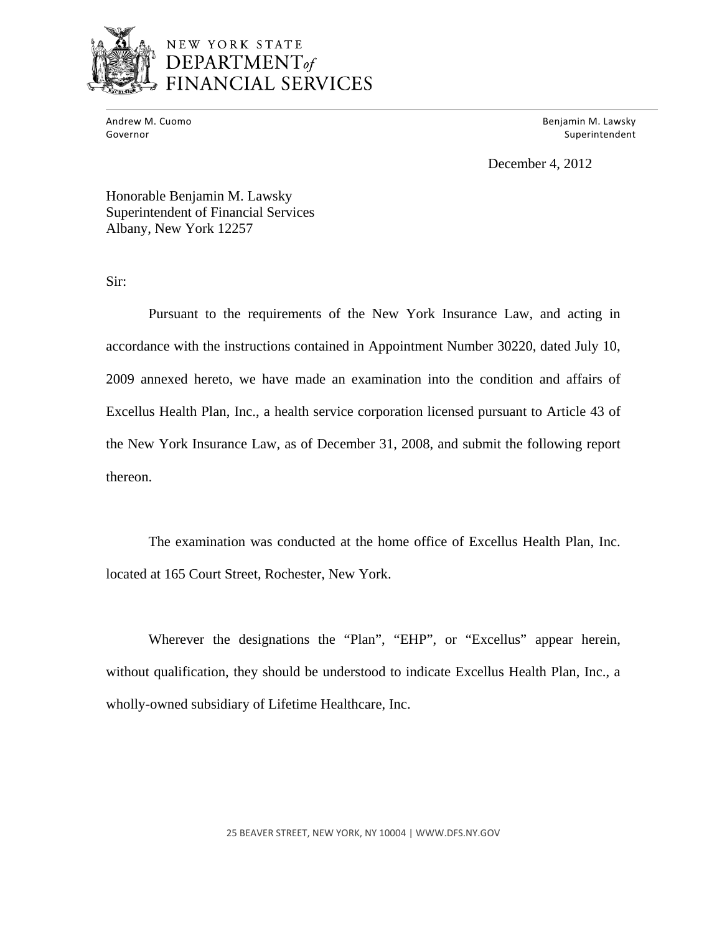

## NEW YORK STATE DEPARTMENT<sub>of</sub> **NCIAL SERVICES**

Andrew M. Cuomo<br>Governor

 Andrew M. Cuomo Benjamin M. Lawsky Superintendent

December 4, 2012

Honorable Benjamin M. Lawsky Superintendent of Financial Services Albany, New York 12257

Sir:

Pursuant to the requirements of the New York Insurance Law, and acting in accordance with the instructions contained in Appointment Number 30220, dated July 10, 2009 annexed hereto, we have made an examination into the condition and affairs of Excellus Health Plan, Inc., a health service corporation licensed pursuant to Article 43 of the New York Insurance Law, as of December 31, 2008, and submit the following report thereon.

The examination was conducted at the home office of Excellus Health Plan, Inc. located at 165 Court Street, Rochester, New York.

Wherever the designations the "Plan", "EHP", or "Excellus" appear herein, without qualification, they should be understood to indicate Excellus Health Plan, Inc., a wholly-owned subsidiary of Lifetime Healthcare, Inc.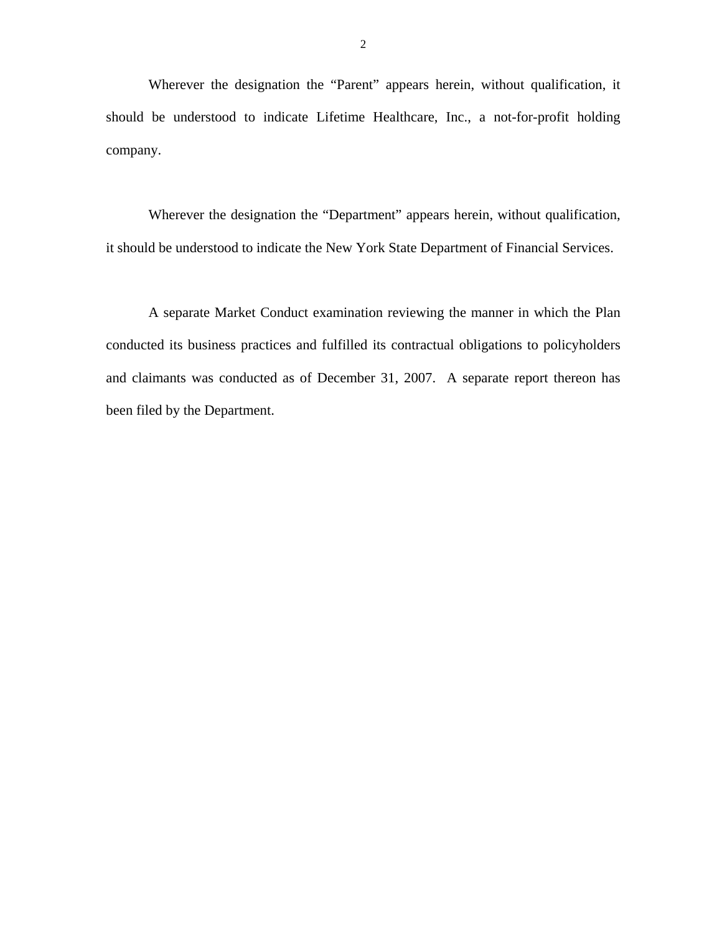Wherever the designation the "Parent" appears herein, without qualification, it should be understood to indicate Lifetime Healthcare, Inc., a not-for-profit holding company.

Wherever the designation the "Department" appears herein, without qualification, it should be understood to indicate the New York State Department of Financial Services.

A separate Market Conduct examination reviewing the manner in which the Plan conducted its business practices and fulfilled its contractual obligations to policyholders and claimants was conducted as of December 31, 2007. A separate report thereon has been filed by the Department.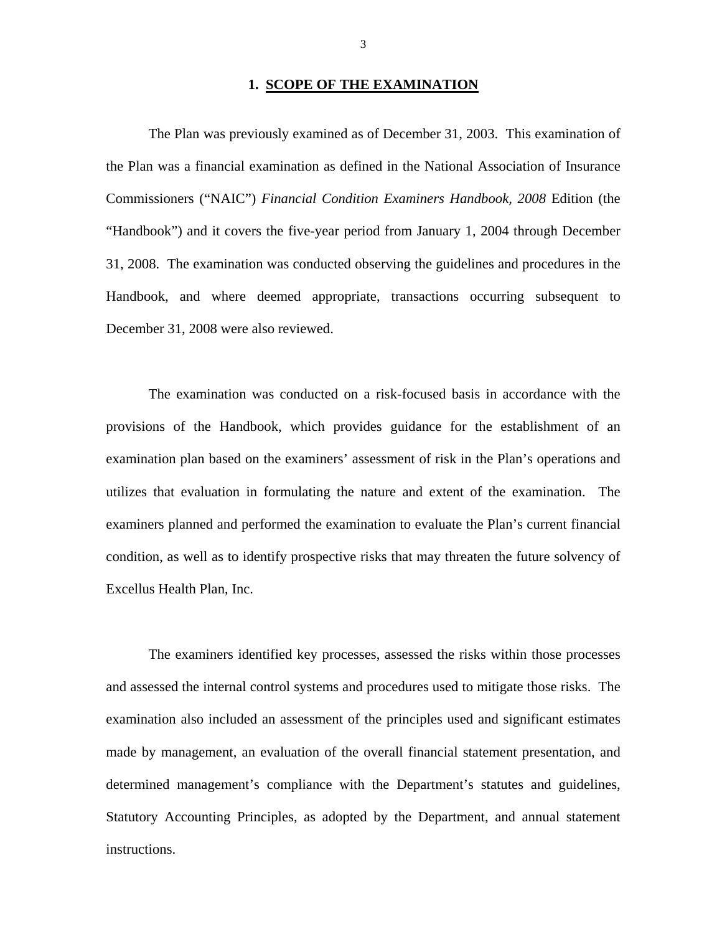#### **1. SCOPE OF THE EXAMINATION**

The Plan was previously examined as of December 31, 2003. This examination of the Plan was a financial examination as defined in the National Association of Insurance Commissioners ("NAIC") *Financial Condition Examiners Handbook, 2008* Edition (the "Handbook") and it covers the five-year period from January 1, 2004 through December 31, 2008. The examination was conducted observing the guidelines and procedures in the Handbook, and where deemed appropriate, transactions occurring subsequent to December 31, 2008 were also reviewed.

The examination was conducted on a risk-focused basis in accordance with the provisions of the Handbook, which provides guidance for the establishment of an examination plan based on the examiners' assessment of risk in the Plan's operations and utilizes that evaluation in formulating the nature and extent of the examination. The examiners planned and performed the examination to evaluate the Plan's current financial condition, as well as to identify prospective risks that may threaten the future solvency of Excellus Health Plan, Inc.

The examiners identified key processes, assessed the risks within those processes and assessed the internal control systems and procedures used to mitigate those risks. The examination also included an assessment of the principles used and significant estimates made by management, an evaluation of the overall financial statement presentation, and determined management's compliance with the Department's statutes and guidelines, Statutory Accounting Principles, as adopted by the Department, and annual statement instructions.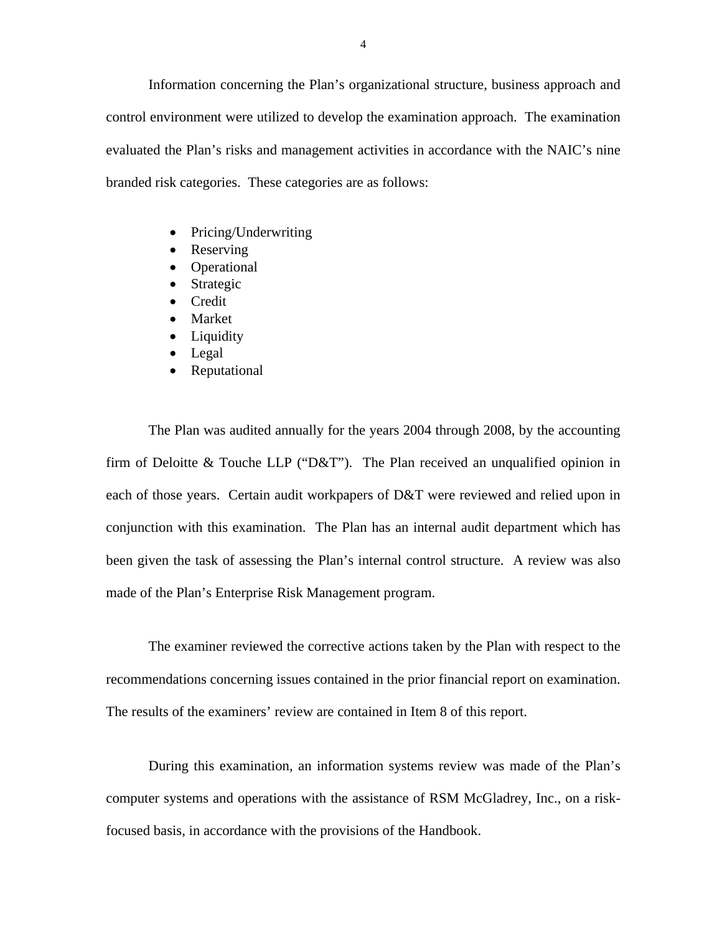Information concerning the Plan's organizational structure, business approach and control environment were utilized to develop the examination approach. The examination evaluated the Plan's risks and management activities in accordance with the NAIC's nine branded risk categories. These categories are as follows:

- Pricing/Underwriting
- Reserving
- Operational
- Strategic
- Credit
- Market
- Liquidity
- Legal
- Reputational

The Plan was audited annually for the years 2004 through 2008, by the accounting firm of Deloitte & Touche LLP ("D&T"). The Plan received an unqualified opinion in each of those years. Certain audit workpapers of D&T were reviewed and relied upon in conjunction with this examination. The Plan has an internal audit department which has been given the task of assessing the Plan's internal control structure. A review was also made of the Plan's Enterprise Risk Management program.

The examiner reviewed the corrective actions taken by the Plan with respect to the recommendations concerning issues contained in the prior financial report on examination. The results of the examiners' review are contained in Item 8 of this report.

During this examination, an information systems review was made of the Plan's computer systems and operations with the assistance of RSM McGladrey, Inc., on a riskfocused basis, in accordance with the provisions of the Handbook.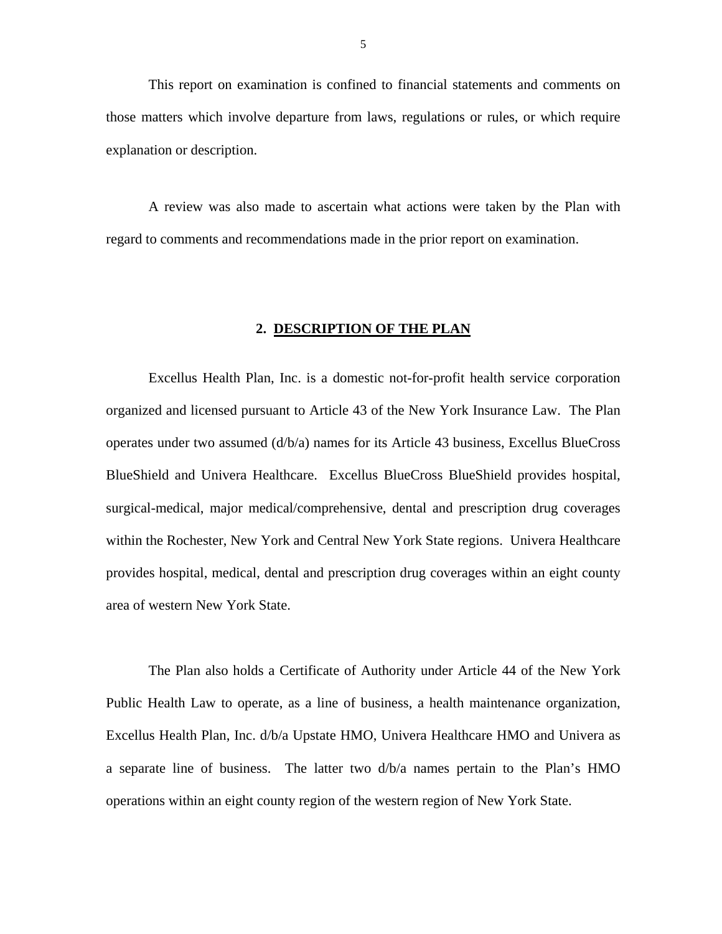This report on examination is confined to financial statements and comments on those matters which involve departure from laws, regulations or rules, or which require explanation or description.

A review was also made to ascertain what actions were taken by the Plan with regard to comments and recommendations made in the prior report on examination.

#### **2. DESCRIPTION OF THE PLAN**

Excellus Health Plan, Inc. is a domestic not-for-profit health service corporation organized and licensed pursuant to Article 43 of the New York Insurance Law. The Plan operates under two assumed (d/b/a) names for its Article 43 business, Excellus BlueCross BlueShield and Univera Healthcare. Excellus BlueCross BlueShield provides hospital, surgical-medical, major medical/comprehensive, dental and prescription drug coverages within the Rochester, New York and Central New York State regions. Univera Healthcare provides hospital, medical, dental and prescription drug coverages within an eight county area of western New York State.

The Plan also holds a Certificate of Authority under Article 44 of the New York Public Health Law to operate, as a line of business, a health maintenance organization, Excellus Health Plan, Inc. d/b/a Upstate HMO, Univera Healthcare HMO and Univera as a separate line of business. The latter two d/b/a names pertain to the Plan's HMO operations within an eight county region of the western region of New York State.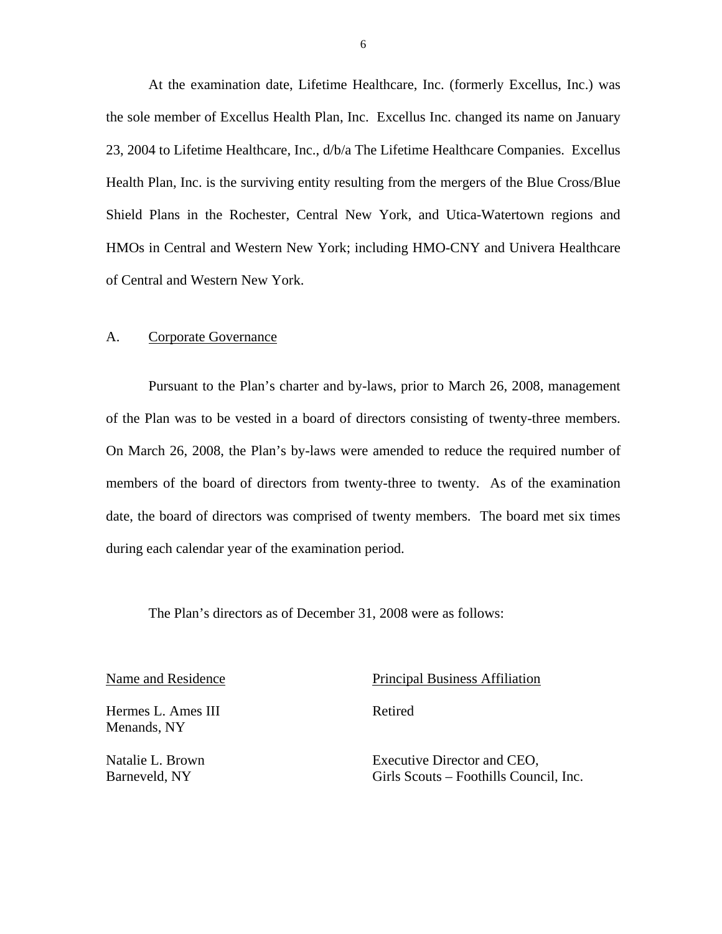<span id="page-7-0"></span>At the examination date, Lifetime Healthcare, Inc. (formerly Excellus, Inc.) was the sole member of Excellus Health Plan, Inc. Excellus Inc. changed its name on January 23, 2004 to Lifetime Healthcare, Inc., d/b/a The Lifetime Healthcare Companies. Excellus Health Plan, Inc. is the surviving entity resulting from the mergers of the Blue Cross/Blue Shield Plans in the Rochester, Central New York, and Utica-Watertown regions and HMOs in Central and Western New York; including HMO-CNY and Univera Healthcare of Central and Western New York.

#### A. Corporate Governance

Pursuant to the Plan's charter and by-laws, prior to March 26, 2008, management of the Plan was to be vested in a board of directors consisting of twenty-three members. On March 26, 2008, the Plan's by-laws were amended to reduce the required number of members of the board of directors from twenty-three to twenty. As of the examination date, the board of directors was comprised of twenty members. The board met six times during each calendar year of the examination period.

The Plan's directors as of December 31, 2008 were as follows:

Hermes L. Ames III Retired Menands, NY

Name and Residence Principal Business Affiliation

Natalie L. Brown Executive Director and CEO, Barneveld, NY Girls Scouts – Foothills Council, Inc.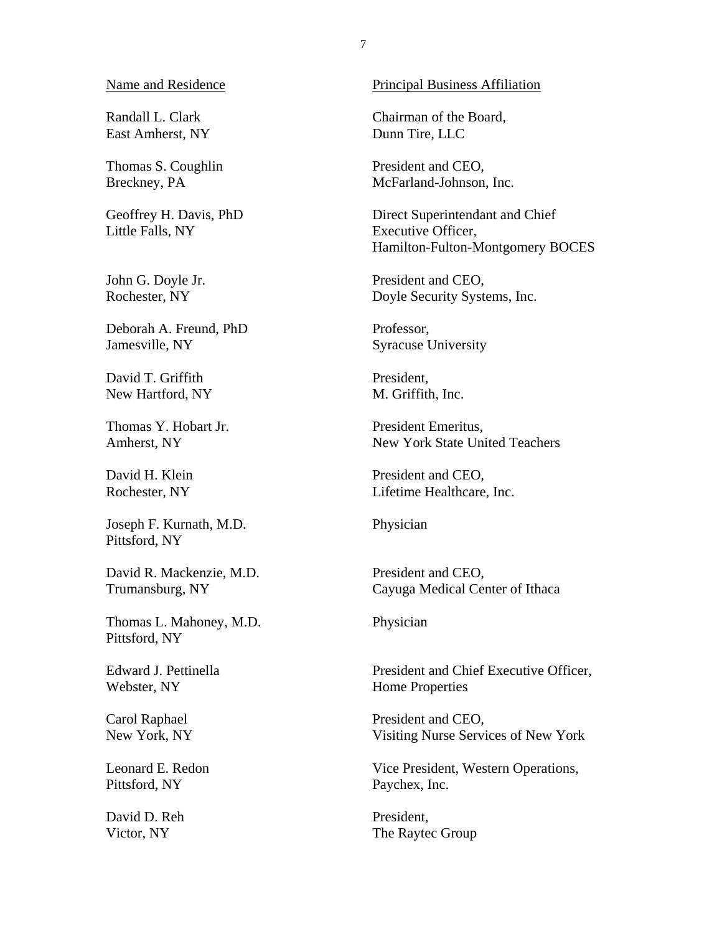Randall L. Clark East Amherst, NY

Thomas S. Coughlin Breckney, PA

Geoffrey H. Davis, PhD Little Falls, NY

John G. Doyle Jr. Rochester, NY

Deborah A. Freund, PhD Jamesville, NY

David T. Griffith New Hartford, NY

Thomas Y. Hobart Jr. Amherst, NY

David H. Klein Rochester, NY

Joseph F. Kurnath, M.D. Pittsford, NY

David R. Mackenzie, M.D. Trumansburg, NY

Thomas L. Mahoney, M.D. Pittsford, NY

Edward J. Pettinella Webster, NY

Carol Raphael New York, NY

Leonard E. Redon Pittsford, NY

David D. Reh Victor, NY

#### Principal Business Affiliation

Chairman of the Board, Dunn Tire, LLC

President and CEO, McFarland-Johnson, Inc.

Direct Superintendant and Chief Executive Officer, Hamilton-Fulton-Montgomery BOCES

President and CEO, Doyle Security Systems, Inc.

Professor, Syracuse University

President, M. Griffith, Inc.

President Emeritus, New York State United Teachers

President and CEO, Lifetime Healthcare, Inc.

Physician

President and CEO, Cayuga Medical Center of Ithaca

Physician

President and Chief Executive Officer, Home Properties

President and CEO, Visiting Nurse Services of New York

Vice President, Western Operations, Paychex, Inc.

President, The Raytec Group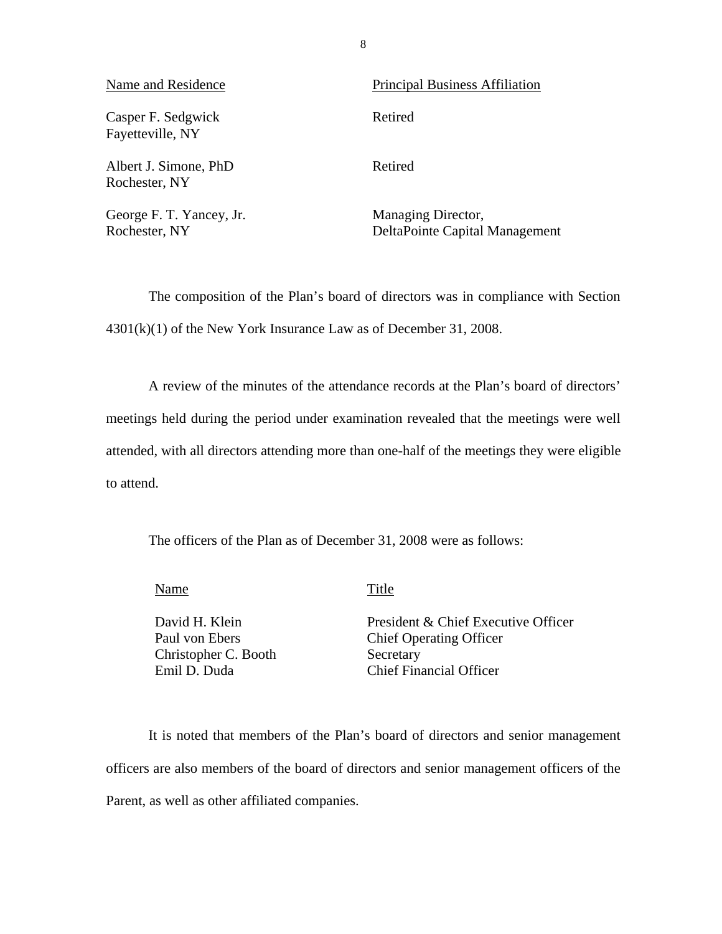| Name and Residence                        | <b>Principal Business Affiliation</b>                |
|-------------------------------------------|------------------------------------------------------|
| Casper F. Sedgwick<br>Fayetteville, NY    | Retired                                              |
| Albert J. Simone, PhD<br>Rochester, NY    | Retired                                              |
| George F. T. Yancey, Jr.<br>Rochester, NY | Managing Director,<br>DeltaPointe Capital Management |

The composition of the Plan's board of directors was in compliance with Section 4301(k)(1) of the New York Insurance Law as of December 31, 2008.

A review of the minutes of the attendance records at the Plan's board of directors' meetings held during the period under examination revealed that the meetings were well attended, with all directors attending more than one-half of the meetings they were eligible to attend.

The officers of the Plan as of December 31, 2008 were as follows:

Name Title

Christopher C. Booth Secretary

David H. Klein President & Chief Executive Officer Paul von Ebers Chief Operating Officer Emil D. Duda Chief Financial Officer

It is noted that members of the Plan's board of directors and senior management officers are also members of the board of directors and senior management officers of the Parent, as well as other affiliated companies.

8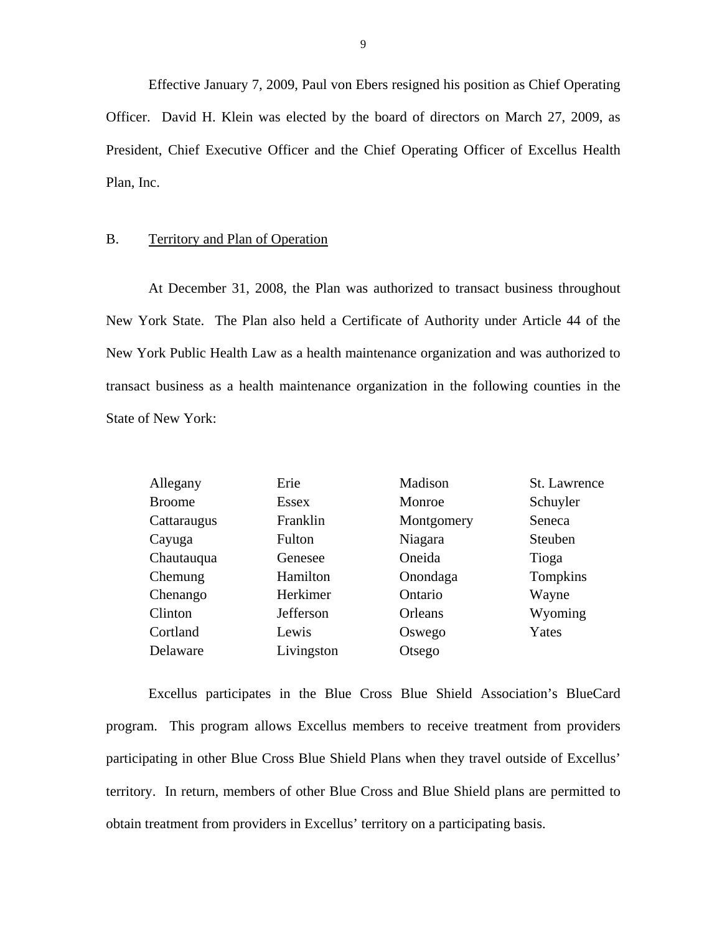Effective January 7, 2009, Paul von Ebers resigned his position as Chief Operating Officer. David H. Klein was elected by the board of directors on March 27, 2009, as President, Chief Executive Officer and the Chief Operating Officer of Excellus Health Plan, Inc.

#### B. Territory and Plan of Operation

At December 31, 2008, the Plan was authorized to transact business throughout New York State. The Plan also held a Certificate of Authority under Article 44 of the New York Public Health Law as a health maintenance organization and was authorized to transact business as a health maintenance organization in the following counties in the State of New York:

| Allegany      | Erie       | Madison    | St. Lawrence |
|---------------|------------|------------|--------------|
| <b>Broome</b> | Essex      | Monroe     | Schuyler     |
| Cattaraugus   | Franklin   | Montgomery | Seneca       |
| Cayuga        | Fulton     | Niagara    | Steuben      |
| Chautauqua    | Genesee    | Oneida     | Tioga        |
| Chemung       | Hamilton   | Onondaga   | Tompkins     |
| Chenango      | Herkimer   | Ontario    | Wayne        |
| Clinton       | Jefferson  | Orleans    | Wyoming      |
| Cortland      | Lewis      | Oswego     | Yates        |
| Delaware      | Livingston | Otsego     |              |

Excellus participates in the Blue Cross Blue Shield Association's BlueCard program. This program allows Excellus members to receive treatment from providers participating in other Blue Cross Blue Shield Plans when they travel outside of Excellus' territory. In return, members of other Blue Cross and Blue Shield plans are permitted to obtain treatment from providers in Excellus' territory on a participating basis.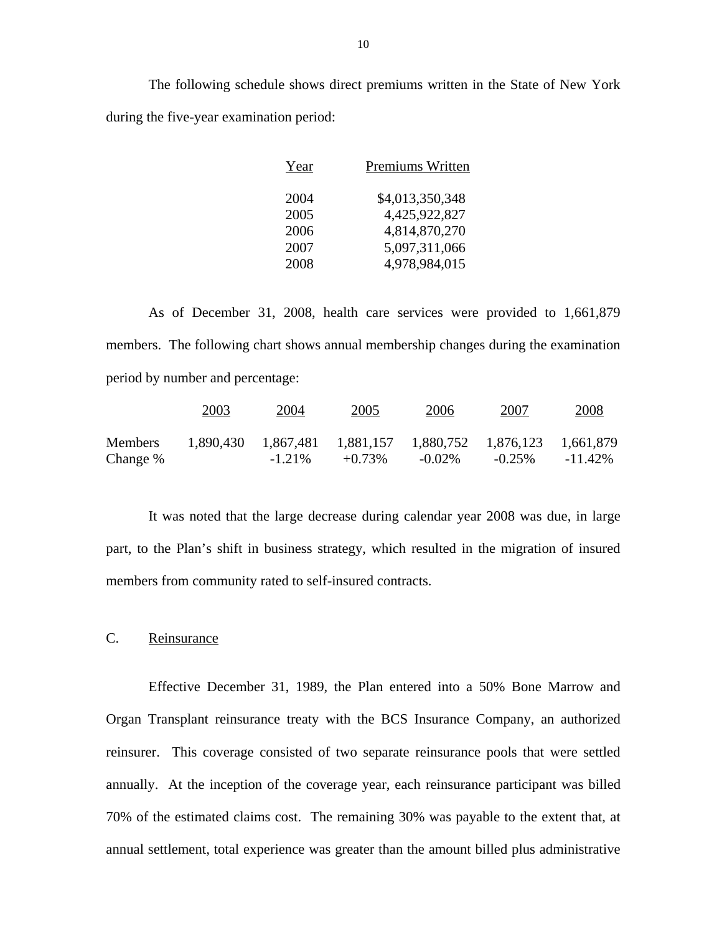The following schedule shows direct premiums written in the State of New York during the five-year examination period:

| Year | Premiums Written |
|------|------------------|
| 2004 | \$4,013,350,348  |
| 2005 | 4,425,922,827    |
| 2006 | 4,814,870,270    |
| 2007 | 5,097,311,066    |
| 2008 | 4,978,984,015    |

As of December 31, 2008, health care services were provided to 1,661,879 members. The following chart shows annual membership changes during the examination period by number and percentage:

|                | 2003 | 2004      | 2005                                                        | 2006      | 2007      | 2008       |
|----------------|------|-----------|-------------------------------------------------------------|-----------|-----------|------------|
| <b>Members</b> |      |           | 1,890,430 1,867,481 1,881,157 1,880,752 1,876,123 1,661,879 |           |           |            |
| Change %       |      | $-1.21\%$ | $+0.73\%$                                                   | $-0.02\%$ | $-0.25\%$ | $-11.42\%$ |

It was noted that the large decrease during calendar year 2008 was due, in large part, to the Plan's shift in business strategy, which resulted in the migration of insured members from community rated to self-insured contracts.

### C. Reinsurance

Effective December 31, 1989, the Plan entered into a 50% Bone Marrow and Organ Transplant reinsurance treaty with the BCS Insurance Company, an authorized reinsurer. This coverage consisted of two separate reinsurance pools that were settled annually. At the inception of the coverage year, each reinsurance participant was billed 70% of the estimated claims cost. The remaining 30% was payable to the extent that, at annual settlement, total experience was greater than the amount billed plus administrative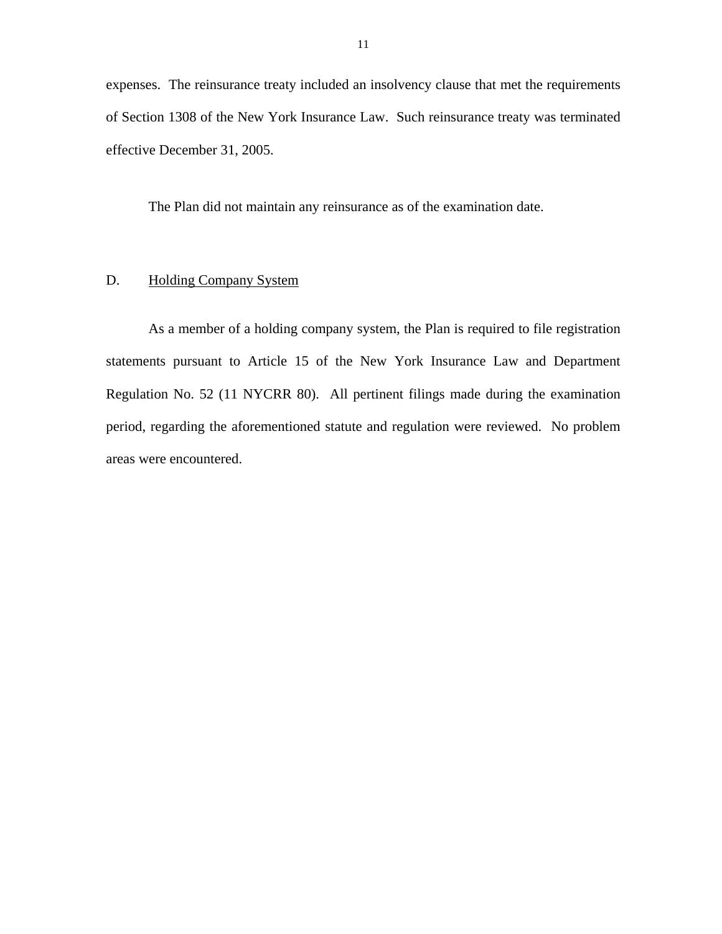<span id="page-12-0"></span>expenses. The reinsurance treaty included an insolvency clause that met the requirements of Section 1308 of the New York Insurance Law. Such reinsurance treaty was terminated effective December 31, 2005.

The Plan did not maintain any reinsurance as of the examination date.

### D. Holding Company System

As a member of a holding company system, the Plan is required to file registration statements pursuant to Article 15 of the New York Insurance Law and Department Regulation No. 52 (11 NYCRR 80). All pertinent filings made during the examination period, regarding the aforementioned statute and regulation were reviewed. No problem areas were encountered.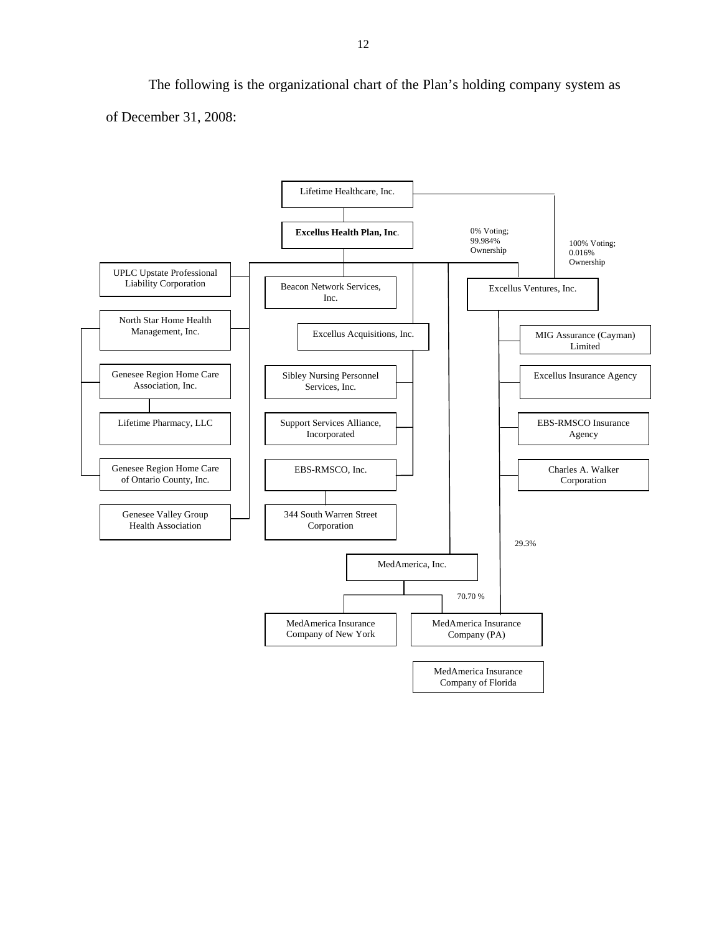The following is the organizational chart of the Plan's holding company system as of December 31, 2008:

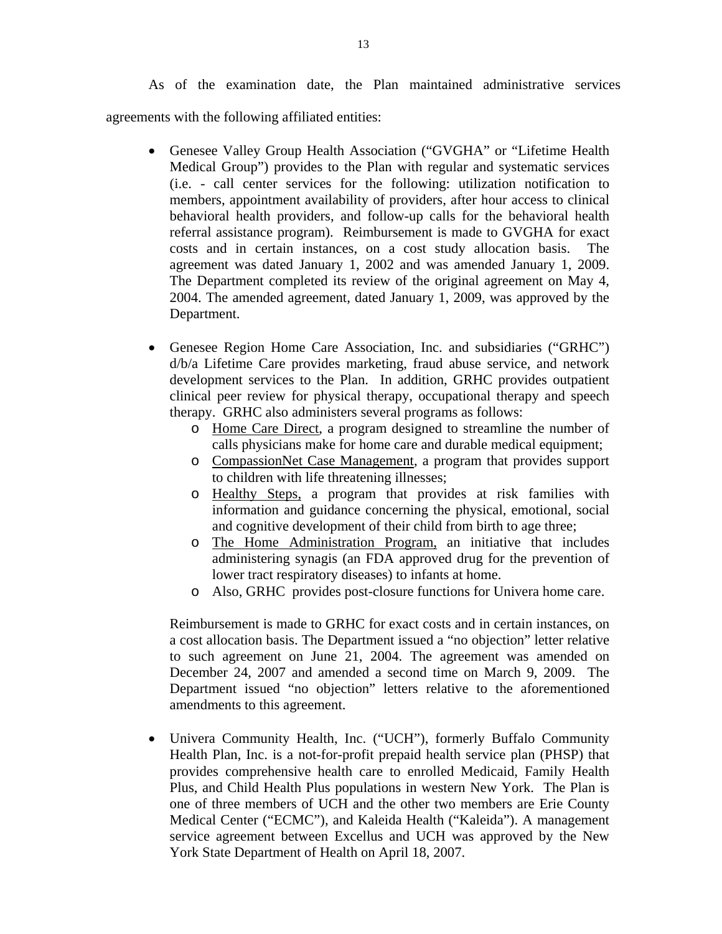As of the examination date, the Plan maintained administrative services agreements with the following affiliated entities:

- Genesee Valley Group Health Association ("GVGHA" or "Lifetime Health Medical Group") provides to the Plan with regular and systematic services (i.e. - call center services for the following: utilization notification to members, appointment availability of providers, after hour access to clinical behavioral health providers, and follow-up calls for the behavioral health referral assistance program). Reimbursement is made to GVGHA for exact costs and in certain instances, on a cost study allocation basis. The agreement was dated January 1, 2002 and was amended January 1, 2009. The Department completed its review of the original agreement on May 4, 2004. The amended agreement, dated January 1, 2009, was approved by the Department.
- Genesee Region Home Care Association, Inc. and subsidiaries ("GRHC") d/b/a Lifetime Care provides marketing, fraud abuse service, and network development services to the Plan. In addition, GRHC provides outpatient clinical peer review for physical therapy, occupational therapy and speech therapy. GRHC also administers several programs as follows:
	- o Home Care Direct, a program designed to streamline the number of calls physicians make for home care and durable medical equipment;
	- o CompassionNet Case Management, a program that provides support to children with life threatening illnesses;
	- o Healthy Steps, a program that provides at risk families with information and guidance concerning the physical, emotional, social and cognitive development of their child from birth to age three;
	- o The Home Administration Program, an initiative that includes administering synagis (an FDA approved drug for the prevention of lower tract respiratory diseases) to infants at home.
	- o Also, GRHC provides post-closure functions for Univera home care.

Reimbursement is made to GRHC for exact costs and in certain instances, on a cost allocation basis. The Department issued a "no objection" letter relative to such agreement on June 21, 2004. The agreement was amended on December 24, 2007 and amended a second time on March 9, 2009. The Department issued "no objection" letters relative to the aforementioned amendments to this agreement.

 Univera Community Health, Inc. ("UCH"), formerly Buffalo Community Health Plan, Inc. is a not-for-profit prepaid health service plan (PHSP) that provides comprehensive health care to enrolled Medicaid, Family Health Plus, and Child Health Plus populations in western New York. The Plan is one of three members of UCH and the other two members are Erie County Medical Center ("ECMC"), and Kaleida Health ("Kaleida"). A management service agreement between Excellus and UCH was approved by the New York State Department of Health on April 18, 2007.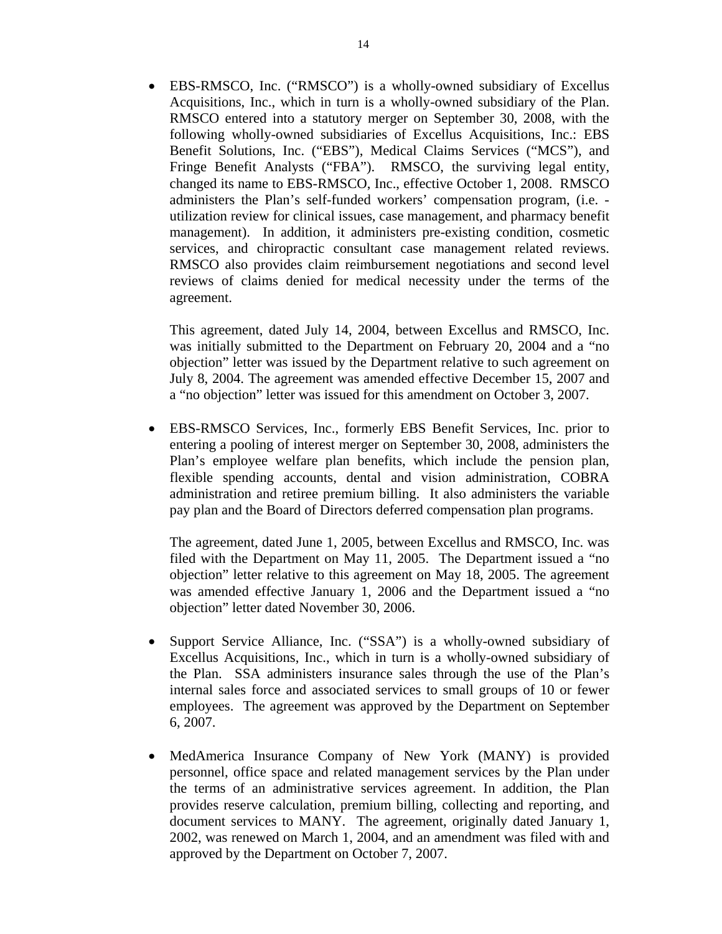Acquisitions, Inc., which in turn is a wholly-owned subsidiary of the Plan. EBS-RMSCO, Inc. ("RMSCO") is a wholly-owned subsidiary of Excellus RMSCO entered into a statutory merger on September 30, 2008, with the following wholly-owned subsidiaries of Excellus Acquisitions, Inc.: EBS Benefit Solutions, Inc. ("EBS"), Medical Claims Services ("MCS"), and Fringe Benefit Analysts ("FBA"). RMSCO, the surviving legal entity, changed its name to EBS-RMSCO, Inc., effective October 1, 2008. RMSCO administers the Plan's self-funded workers' compensation program, (i.e. utilization review for clinical issues, case management, and pharmacy benefit management). In addition, it administers pre-existing condition, cosmetic services, and chiropractic consultant case management related reviews. RMSCO also provides claim reimbursement negotiations and second level reviews of claims denied for medical necessity under the terms of the agreement.

This agreement, dated July 14, 2004, between Excellus and RMSCO, Inc. was initially submitted to the Department on February 20, 2004 and a "no objection" letter was issued by the Department relative to such agreement on July 8, 2004. The agreement was amended effective December 15, 2007 and a "no objection" letter was issued for this amendment on October 3, 2007.

 EBS-RMSCO Services, Inc., formerly EBS Benefit Services, Inc. prior to entering a pooling of interest merger on September 30, 2008, administers the Plan's employee welfare plan benefits, which include the pension plan, flexible spending accounts, dental and vision administration, COBRA administration and retiree premium billing. It also administers the variable pay plan and the Board of Directors deferred compensation plan programs.

The agreement, dated June 1, 2005, between Excellus and RMSCO, Inc. was filed with the Department on May 11, 2005. The Department issued a "no objection" letter relative to this agreement on May 18, 2005. The agreement was amended effective January 1, 2006 and the Department issued a "no objection" letter dated November 30, 2006.

- Support Service Alliance, Inc. ("SSA") is a wholly-owned subsidiary of Excellus Acquisitions, Inc., which in turn is a wholly-owned subsidiary of the Plan. SSA administers insurance sales through the use of the Plan's internal sales force and associated services to small groups of 10 or fewer employees. The agreement was approved by the Department on September 6, 2007.
- MedAmerica Insurance Company of New York (MANY) is provided personnel, office space and related management services by the Plan under the terms of an administrative services agreement. In addition, the Plan provides reserve calculation, premium billing, collecting and reporting, and document services to MANY. The agreement, originally dated January 1, 2002, was renewed on March 1, 2004, and an amendment was filed with and approved by the Department on October 7, 2007.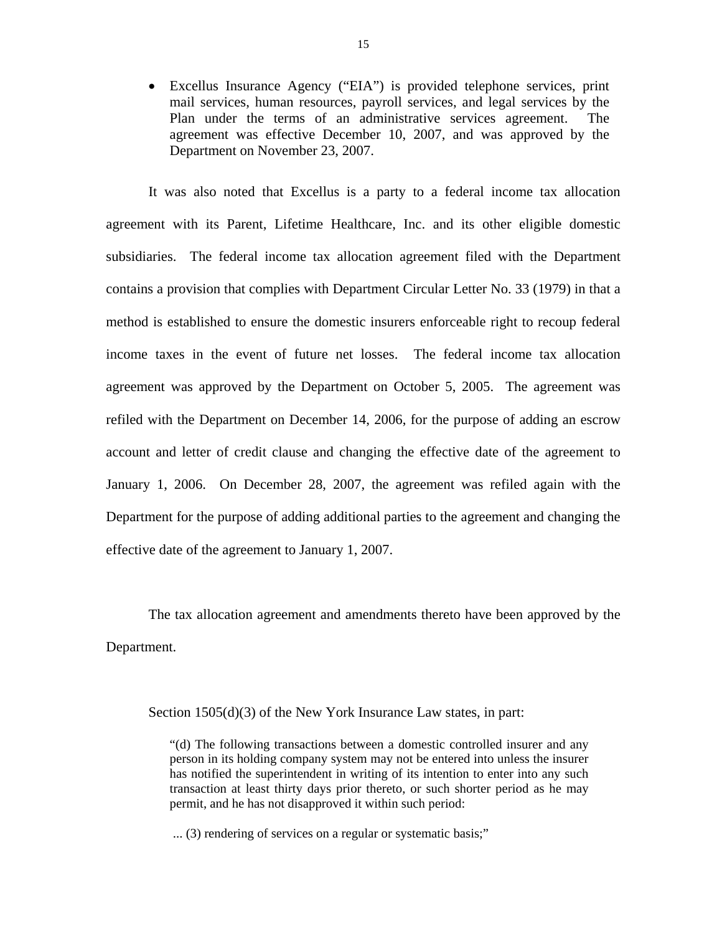Excellus Insurance Agency ("EIA") is provided telephone services, print mail services, human resources, payroll services, and legal services by the Plan under the terms of an administrative services agreement. The agreement was effective December 10, 2007, and was approved by the Department on November 23, 2007.

It was also noted that Excellus is a party to a federal income tax allocation agreement with its Parent, Lifetime Healthcare, Inc. and its other eligible domestic subsidiaries. The federal income tax allocation agreement filed with the Department contains a provision that complies with Department Circular Letter No. 33 (1979) in that a method is established to ensure the domestic insurers enforceable right to recoup federal income taxes in the event of future net losses. The federal income tax allocation agreement was approved by the Department on October 5, 2005. The agreement was refiled with the Department on December 14, 2006, for the purpose of adding an escrow account and letter of credit clause and changing the effective date of the agreement to January 1, 2006. On December 28, 2007, the agreement was refiled again with the Department for the purpose of adding additional parties to the agreement and changing the effective date of the agreement to January 1, 2007.

The tax allocation agreement and amendments thereto have been approved by the Department.

Section 1505(d)(3) of the New York Insurance Law states, in part:

"(d) The following transactions between a domestic controlled insurer and any person in its holding company system may not be entered into unless the insurer has notified the superintendent in writing of its intention to enter into any such transaction at least thirty days prior thereto, or such shorter period as he may permit, and he has not disapproved it within such period:

... (3) rendering of services on a regular or systematic basis;"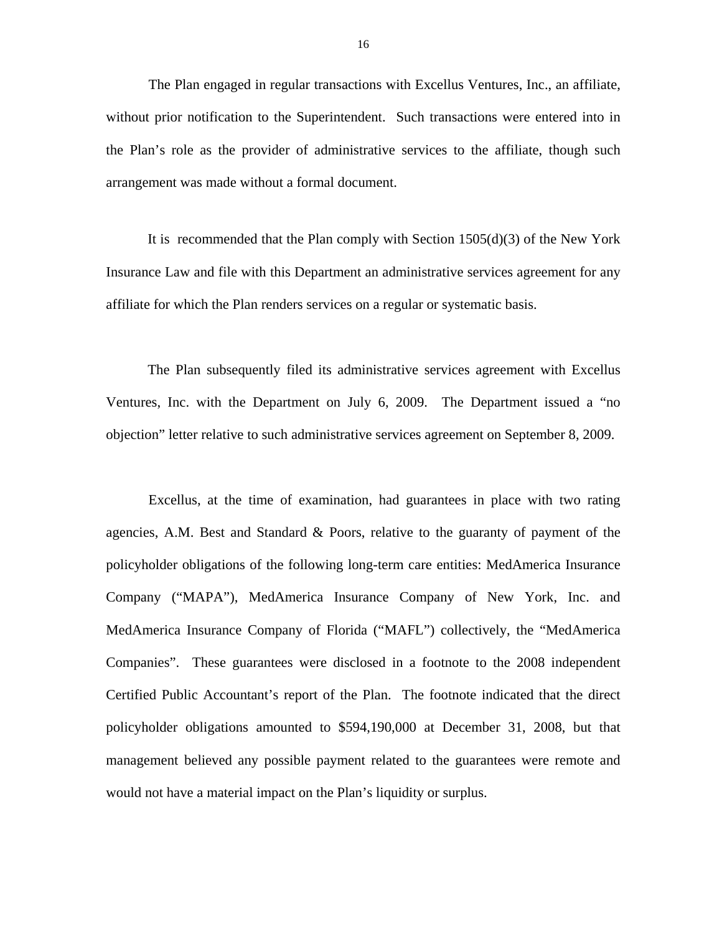The Plan engaged in regular transactions with Excellus Ventures, Inc., an affiliate, without prior notification to the Superintendent. Such transactions were entered into in the Plan's role as the provider of administrative services to the affiliate, though such arrangement was made without a formal document.

It is recommended that the Plan comply with Section  $1505(d)(3)$  of the New York Insurance Law and file with this Department an administrative services agreement for any affiliate for which the Plan renders services on a regular or systematic basis.

The Plan subsequently filed its administrative services agreement with Excellus Ventures, Inc. with the Department on July 6, 2009. The Department issued a "no objection" letter relative to such administrative services agreement on September 8, 2009.

Excellus, at the time of examination, had guarantees in place with two rating agencies, A.M. Best and Standard & Poors, relative to the guaranty of payment of the policyholder obligations of the following long-term care entities: MedAmerica Insurance Company ("MAPA"), MedAmerica Insurance Company of New York, Inc. and MedAmerica Insurance Company of Florida ("MAFL") collectively, the "MedAmerica Companies". These guarantees were disclosed in a footnote to the 2008 independent Certified Public Accountant's report of the Plan. The footnote indicated that the direct policyholder obligations amounted to \$594,190,000 at December 31, 2008, but that management believed any possible payment related to the guarantees were remote and would not have a material impact on the Plan's liquidity or surplus.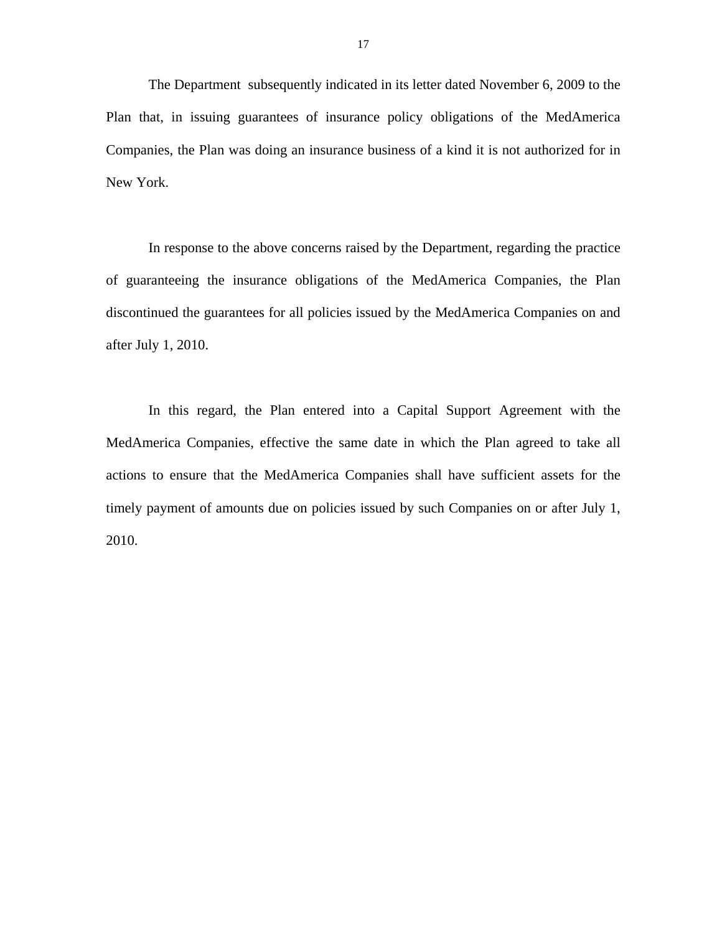The Department subsequently indicated in its letter dated November 6, 2009 to the Plan that, in issuing guarantees of insurance policy obligations of the MedAmerica Companies, the Plan was doing an insurance business of a kind it is not authorized for in New York.

In response to the above concerns raised by the Department, regarding the practice of guaranteeing the insurance obligations of the MedAmerica Companies, the Plan discontinued the guarantees for all policies issued by the MedAmerica Companies on and after July 1, 2010.

In this regard, the Plan entered into a Capital Support Agreement with the MedAmerica Companies, effective the same date in which the Plan agreed to take all actions to ensure that the MedAmerica Companies shall have sufficient assets for the timely payment of amounts due on policies issued by such Companies on or after July 1, 2010.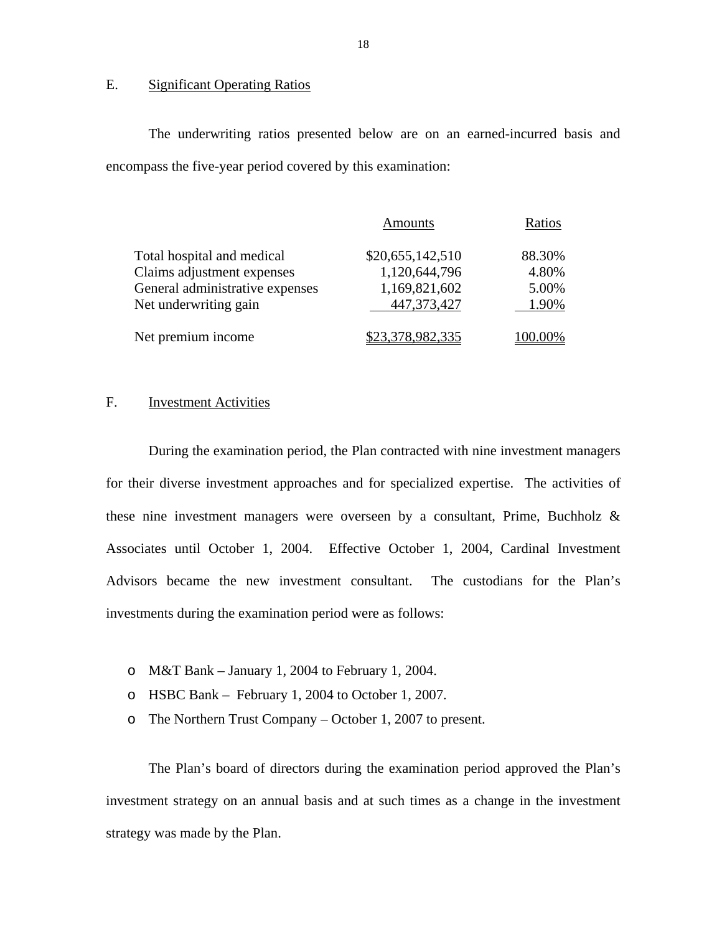#### <span id="page-19-0"></span>E. Significant Operating Ratios

The underwriting ratios presented below are on an earned-incurred basis and encompass the five-year period covered by this examination:

|                                 | <b>Amounts</b>   | Ratios  |
|---------------------------------|------------------|---------|
| Total hospital and medical      | \$20,655,142,510 | 88.30%  |
| Claims adjustment expenses      | 1,120,644,796    | 4.80%   |
| General administrative expenses | 1,169,821,602    | 5.00%   |
| Net underwriting gain           | 447,373,427      | 1.90%   |
| Net premium income              | \$23,378,982,335 | 100.00% |

### F. Investment Activities

During the examination period, the Plan contracted with nine investment managers for their diverse investment approaches and for specialized expertise. The activities of these nine investment managers were overseen by a consultant, Prime, Buchholz & Associates until October 1, 2004. Effective October 1, 2004, Cardinal Investment Advisors became the new investment consultant. The custodians for the Plan's investments during the examination period were as follows:

- o M&T Bank January 1, 2004 to February 1, 2004.
- o HSBC Bank February 1, 2004 to October 1, 2007.
- o The Northern Trust Company October 1, 2007 to present.

The Plan's board of directors during the examination period approved the Plan's investment strategy on an annual basis and at such times as a change in the investment strategy was made by the Plan.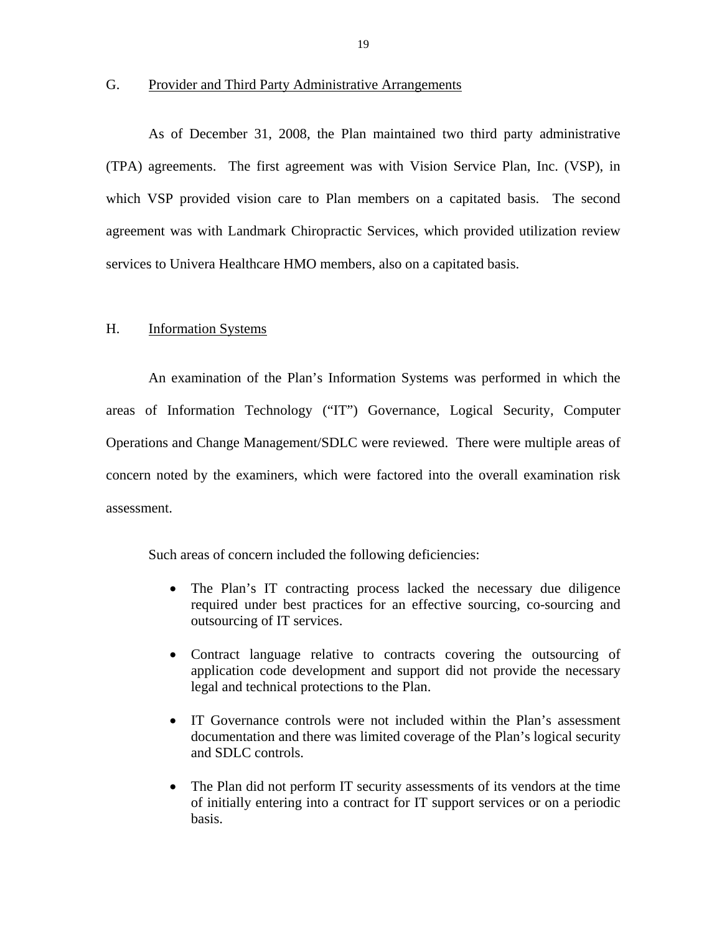#### <span id="page-20-0"></span>G. Provider and Third Party Administrative Arrangements

As of December 31, 2008, the Plan maintained two third party administrative (TPA) agreements. The first agreement was with Vision Service Plan, Inc. (VSP), in which VSP provided vision care to Plan members on a capitated basis. The second agreement was with Landmark Chiropractic Services, which provided utilization review services to Univera Healthcare HMO members, also on a capitated basis.

#### H. Information Systems

An examination of the Plan's Information Systems was performed in which the areas of Information Technology ("IT") Governance, Logical Security, Computer Operations and Change Management/SDLC were reviewed. There were multiple areas of concern noted by the examiners, which were factored into the overall examination risk assessment.

Such areas of concern included the following deficiencies:

- The Plan's IT contracting process lacked the necessary due diligence required under best practices for an effective sourcing, co-sourcing and outsourcing of IT services.
- Contract language relative to contracts covering the outsourcing of application code development and support did not provide the necessary legal and technical protections to the Plan.
- IT Governance controls were not included within the Plan's assessment documentation and there was limited coverage of the Plan's logical security and SDLC controls.
- The Plan did not perform IT security assessments of its vendors at the time of initially entering into a contract for IT support services or on a periodic basis.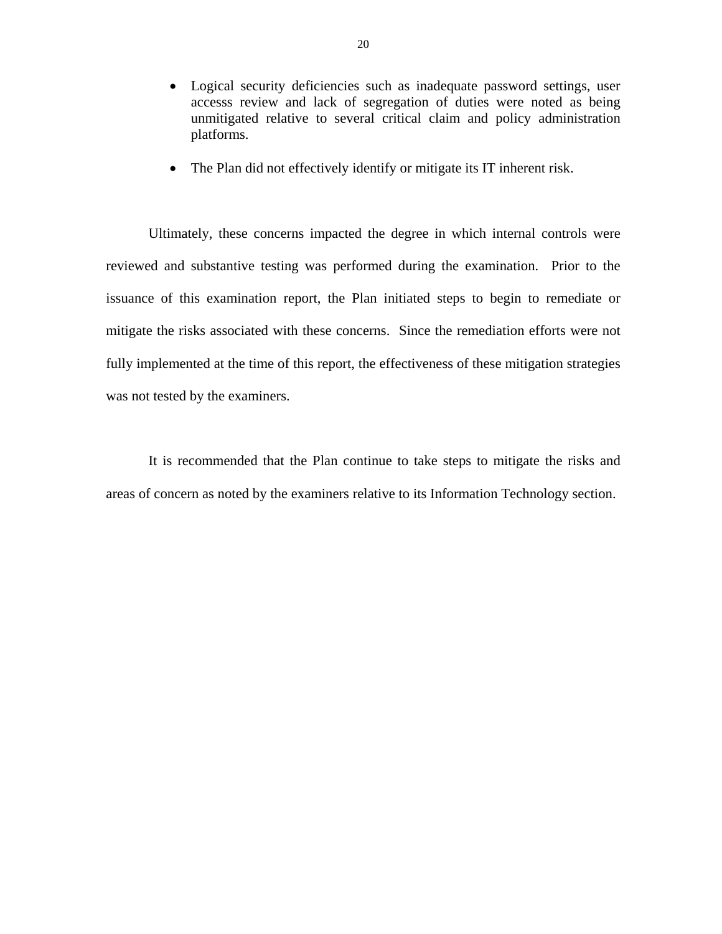- Logical security deficiencies such as inadequate password settings, user accesss review and lack of segregation of duties were noted as being unmitigated relative to several critical claim and policy administration platforms.
- The Plan did not effectively identify or mitigate its IT inherent risk.

Ultimately, these concerns impacted the degree in which internal controls were reviewed and substantive testing was performed during the examination. Prior to the issuance of this examination report, the Plan initiated steps to begin to remediate or mitigate the risks associated with these concerns. Since the remediation efforts were not fully implemented at the time of this report, the effectiveness of these mitigation strategies was not tested by the examiners.

It is recommended that the Plan continue to take steps to mitigate the risks and areas of concern as noted by the examiners relative to its Information Technology section.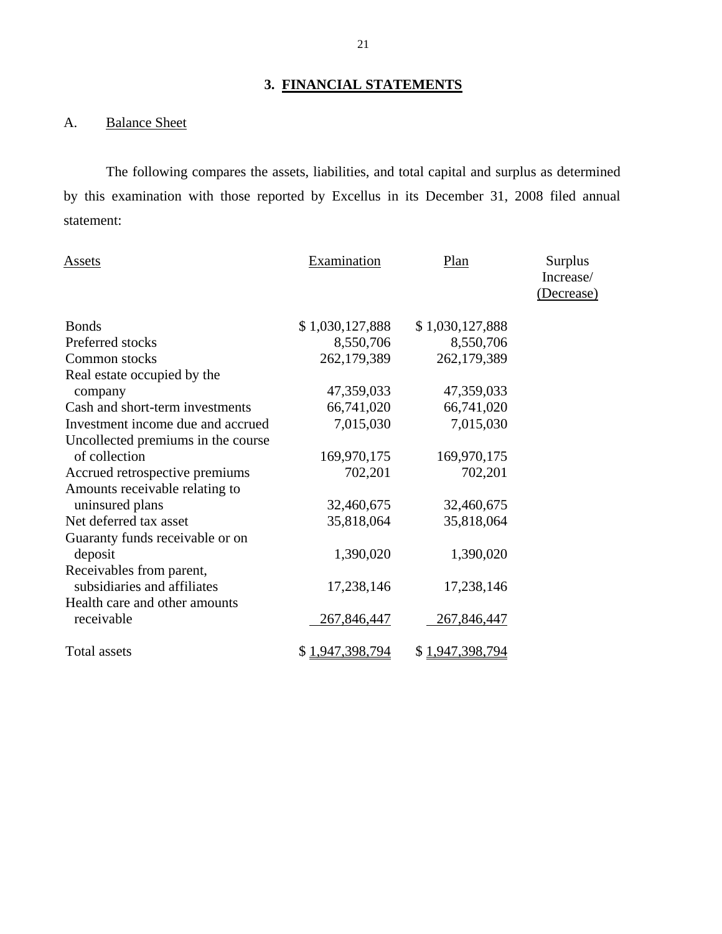# **3. FINANCIAL STATEMENTS**

## A. Balance Sheet

The following compares the assets, liabilities, and total capital and surplus as determined by this examination with those reported by Excellus in its December 31, 2008 filed annual statement:

| Assets                                      | <b>Examination</b> | Plan            | Surplus<br>Increase/<br>(Decrease) |
|---------------------------------------------|--------------------|-----------------|------------------------------------|
| <b>Bonds</b>                                | \$1,030,127,888    | \$1,030,127,888 |                                    |
| Preferred stocks                            | 8,550,706          | 8,550,706       |                                    |
| Common stocks                               | 262,179,389        | 262,179,389     |                                    |
| Real estate occupied by the                 |                    |                 |                                    |
| company                                     | 47,359,033         | 47,359,033      |                                    |
| Cash and short-term investments             | 66,741,020         | 66,741,020      |                                    |
| Investment income due and accrued           | 7,015,030          | 7,015,030       |                                    |
| Uncollected premiums in the course          |                    |                 |                                    |
| of collection                               | 169,970,175        | 169,970,175     |                                    |
| Accrued retrospective premiums              | 702,201            | 702,201         |                                    |
| Amounts receivable relating to              |                    |                 |                                    |
| uninsured plans                             | 32,460,675         | 32,460,675      |                                    |
| Net deferred tax asset                      | 35,818,064         | 35,818,064      |                                    |
| Guaranty funds receivable or on             |                    |                 |                                    |
| deposit                                     | 1,390,020          | 1,390,020       |                                    |
| Receivables from parent,                    |                    |                 |                                    |
| subsidiaries and affiliates                 | 17,238,146         | 17,238,146      |                                    |
| Health care and other amounts<br>receivable | 267,846,447        | 267,846,447     |                                    |
| Total assets                                | \$1,947,398,794    | \$1,947,398,794 |                                    |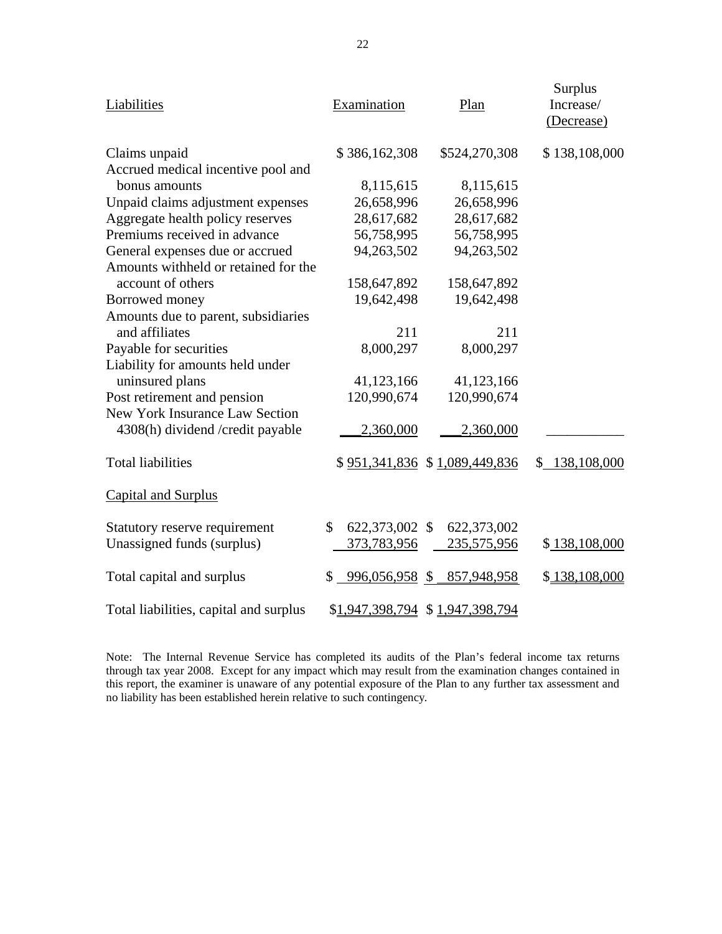| Liabilities                            | Examination          | Plan                            | Surplus<br>Increase/<br>(Decrease) |
|----------------------------------------|----------------------|---------------------------------|------------------------------------|
| Claims unpaid                          | \$386,162,308        | \$524,270,308                   | \$138,108,000                      |
| Accrued medical incentive pool and     |                      |                                 |                                    |
| bonus amounts                          | 8,115,615            | 8,115,615                       |                                    |
| Unpaid claims adjustment expenses      | 26,658,996           | 26,658,996                      |                                    |
| Aggregate health policy reserves       | 28,617,682           | 28,617,682                      |                                    |
| Premiums received in advance           | 56,758,995           | 56,758,995                      |                                    |
| General expenses due or accrued        | 94,263,502           | 94,263,502                      |                                    |
| Amounts withheld or retained for the   |                      |                                 |                                    |
| account of others                      | 158,647,892          | 158,647,892                     |                                    |
| Borrowed money                         | 19,642,498           | 19,642,498                      |                                    |
| Amounts due to parent, subsidiaries    |                      |                                 |                                    |
| and affiliates                         | 211                  | 211                             |                                    |
| Payable for securities                 | 8,000,297            | 8,000,297                       |                                    |
| Liability for amounts held under       |                      |                                 |                                    |
| uninsured plans                        | 41,123,166           | 41,123,166                      |                                    |
| Post retirement and pension            | 120,990,674          | 120,990,674                     |                                    |
| New York Insurance Law Section         |                      |                                 |                                    |
| 4308(h) dividend /credit payable       | 2,360,000            | 2,360,000                       |                                    |
| <b>Total liabilities</b>               |                      | \$951,341,836 \$1,089,449,836   | \$138,108,000                      |
| <b>Capital and Surplus</b>             |                      |                                 |                                    |
| Statutory reserve requirement          | \$<br>622,373,002 \$ | 622,373,002                     |                                    |
| Unassigned funds (surplus)             | 373,783,956          | 235,575,956                     | \$138,108,000                      |
| Total capital and surplus              | $$996,056,958$ \$    | 857,948,958                     | \$138,108,000                      |
| Total liabilities, capital and surplus |                      | \$1,947,398,794 \$1,947,398,794 |                                    |

 through tax year 2008. Except for any impact which may result from the examination changes contained in Note: The Internal Revenue Service has completed its audits of the Plan's federal income tax returns this report, the examiner is unaware of any potential exposure of the Plan to any further tax assessment and no liability has been established herein relative to such contingency*.*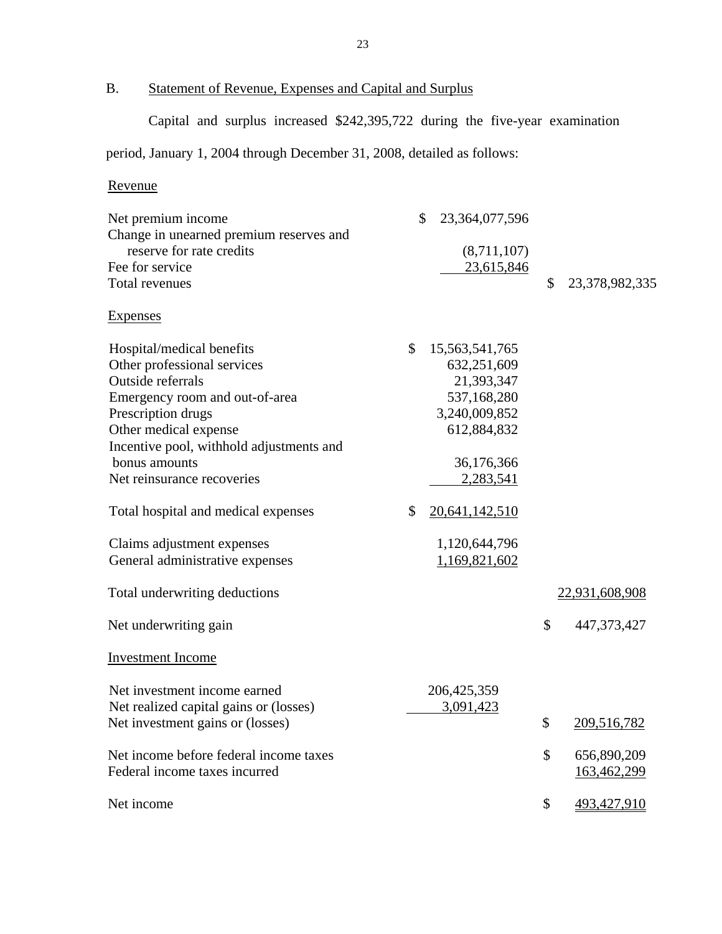## B. Statement of Revenue, Expenses and Capital and Surplus

Capital and surplus increased \$242,395,722 during the five-year examination

## period, January 1, 2004 through December 31, 2008, detailed as follows:

## Revenue

| \$<br>23,364,077,596<br>(8,711,107)<br>23,615,846                                                                              | \$<br>23,378,982,335             |
|--------------------------------------------------------------------------------------------------------------------------------|----------------------------------|
|                                                                                                                                |                                  |
| \$<br>15, 563, 541, 765<br>632,251,609<br>21,393,347<br>537,168,280<br>3,240,009,852<br>612,884,832<br>36,176,366<br>2,283,541 |                                  |
| \$<br>20,641,142,510                                                                                                           |                                  |
| 1,120,644,796<br>1,169,821,602                                                                                                 |                                  |
|                                                                                                                                | 22,931,608,908                   |
|                                                                                                                                | \$<br>447, 373, 427              |
|                                                                                                                                |                                  |
| 206, 425, 359<br>3,091,423                                                                                                     | \$<br>209,516,782                |
|                                                                                                                                | \$<br>656,890,209<br>163,462,299 |
|                                                                                                                                | \$<br>493,427,910                |
|                                                                                                                                |                                  |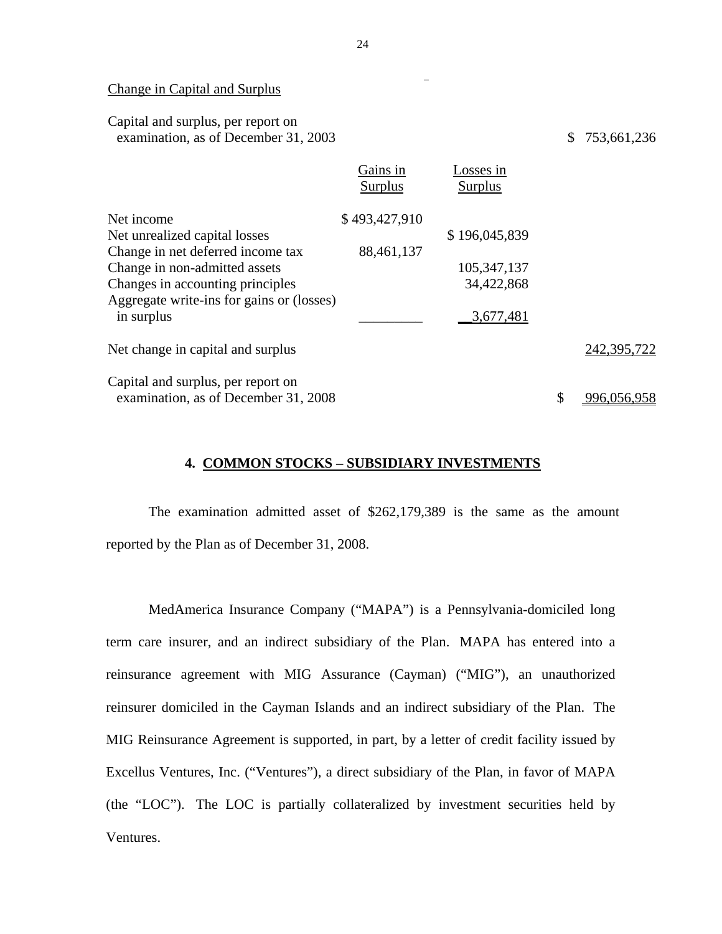#### Change in Capital and Surplus

Capital and surplus, per report on examination, as of December 31, 2003 \$ 753,661,236

|                                           | Gains in<br>Surplus | Losses in<br>Surplus |                   |
|-------------------------------------------|---------------------|----------------------|-------------------|
| Net income                                | \$493,427,910       |                      |                   |
| Net unrealized capital losses             |                     | \$196,045,839        |                   |
| Change in net deferred income tax         | 88,461,137          |                      |                   |
| Change in non-admitted assets             |                     | 105, 347, 137        |                   |
| Changes in accounting principles          |                     | 34,422,868           |                   |
| Aggregate write-ins for gains or (losses) |                     |                      |                   |
| in surplus                                |                     | 3,677,481            |                   |
| Net change in capital and surplus         |                     |                      | 242,395,722       |
| Capital and surplus, per report on        |                     |                      |                   |
| examination, as of December 31, 2008      |                     |                      | \$<br>996,056,958 |

#### **4. COMMON STOCKS – SUBSIDIARY INVESTMENTS**

The examination admitted asset of \$262,179,389 is the same as the amount reported by the Plan as of December 31, 2008.

MedAmerica Insurance Company ("MAPA") is a Pennsylvania-domiciled long term care insurer, and an indirect subsidiary of the Plan. MAPA has entered into a reinsurance agreement with MIG Assurance (Cayman) ("MIG"), an unauthorized reinsurer domiciled in the Cayman Islands and an indirect subsidiary of the Plan. The MIG Reinsurance Agreement is supported, in part, by a letter of credit facility issued by Excellus Ventures, Inc. ("Ventures"), a direct subsidiary of the Plan, in favor of MAPA (the "LOC"). The LOC is partially collateralized by investment securities held by Ventures.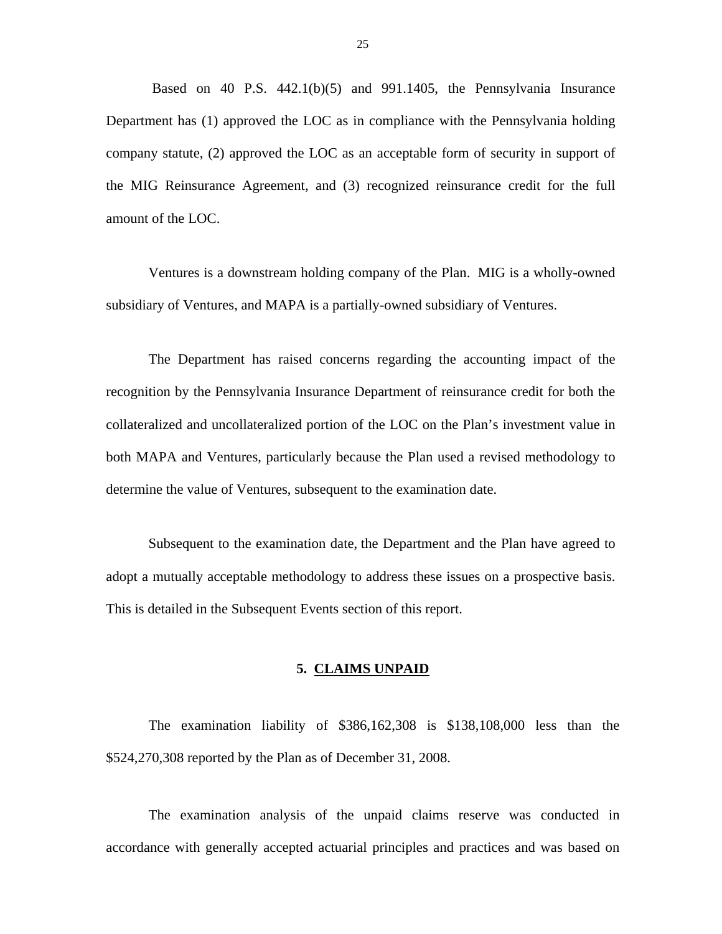<span id="page-26-0"></span>Based on 40 P.S. 442.1(b)(5) and 991.1405, the Pennsylvania Insurance Department has (1) approved the LOC as in compliance with the Pennsylvania holding company statute, (2) approved the LOC as an acceptable form of security in support of the MIG Reinsurance Agreement, and (3) recognized reinsurance credit for the full amount of the LOC.

Ventures is a downstream holding company of the Plan. MIG is a wholly-owned subsidiary of Ventures, and MAPA is a partially-owned subsidiary of Ventures.

The Department has raised concerns regarding the accounting impact of the recognition by the Pennsylvania Insurance Department of reinsurance credit for both the collateralized and uncollateralized portion of the LOC on the Plan's investment value in both MAPA and Ventures, particularly because the Plan used a revised methodology to determine the value of Ventures, subsequent to the examination date.

 adopt a mutually acceptable methodology to address these issues on a prospective basis. This is detailed in the Subsequent Events section of this report. Subsequent to the examination date, the Department and the Plan have agreed to

#### **5. CLAIMS UNPAID**

The examination liability of \$386,162,308 is \$138,108,000 less than the \$524,270,308 reported by the Plan as of December 31, 2008.

The examination analysis of the unpaid claims reserve was conducted in accordance with generally accepted actuarial principles and practices and was based on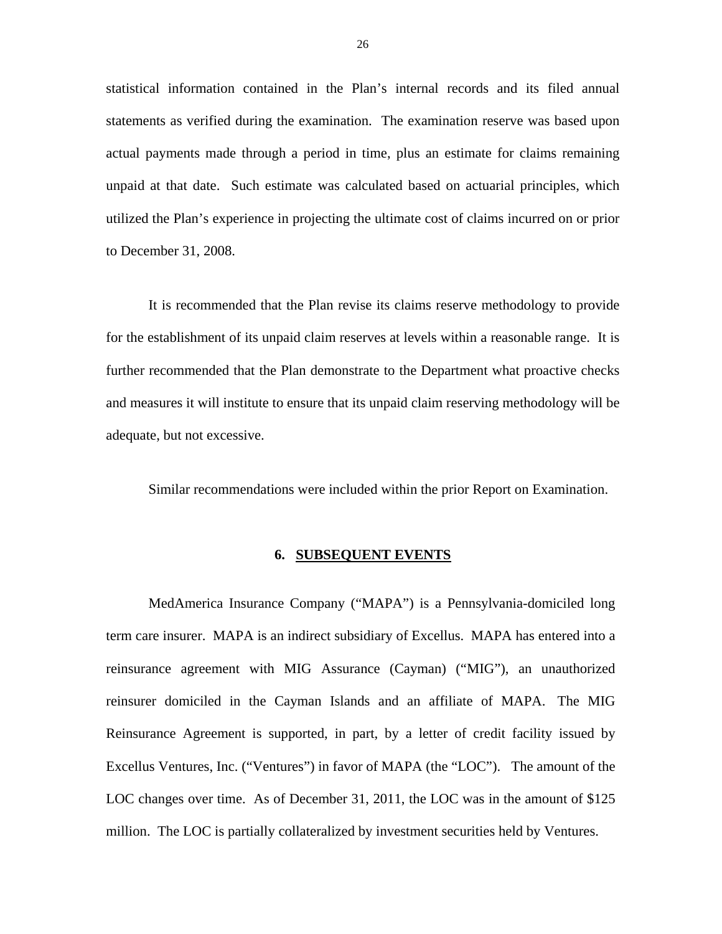<span id="page-27-0"></span>statistical information contained in the Plan's internal records and its filed annual statements as verified during the examination. The examination reserve was based upon actual payments made through a period in time, plus an estimate for claims remaining unpaid at that date. Such estimate was calculated based on actuarial principles, which utilized the Plan's experience in projecting the ultimate cost of claims incurred on or prior to December 31, 2008.

It is recommended that the Plan revise its claims reserve methodology to provide for the establishment of its unpaid claim reserves at levels within a reasonable range. It is further recommended that the Plan demonstrate to the Department what proactive checks and measures it will institute to ensure that its unpaid claim reserving methodology will be adequate, but not excessive.

Similar recommendations were included within the prior Report on Examination.

#### **6. SUBSEQUENT EVENTS**

MedAmerica Insurance Company ("MAPA") is a Pennsylvania-domiciled long term care insurer. MAPA is an indirect subsidiary of Excellus. MAPA has entered into a reinsurance agreement with MIG Assurance (Cayman) ("MIG"), an unauthorized reinsurer domiciled in the Cayman Islands and an affiliate of MAPA. The MIG Reinsurance Agreement is supported, in part, by a letter of credit facility issued by Excellus Ventures, Inc. ("Ventures") in favor of MAPA (the "LOC"). The amount of the LOC changes over time. As of December 31, 2011, the LOC was in the amount of \$125 million. The LOC is partially collateralized by investment securities held by Ventures.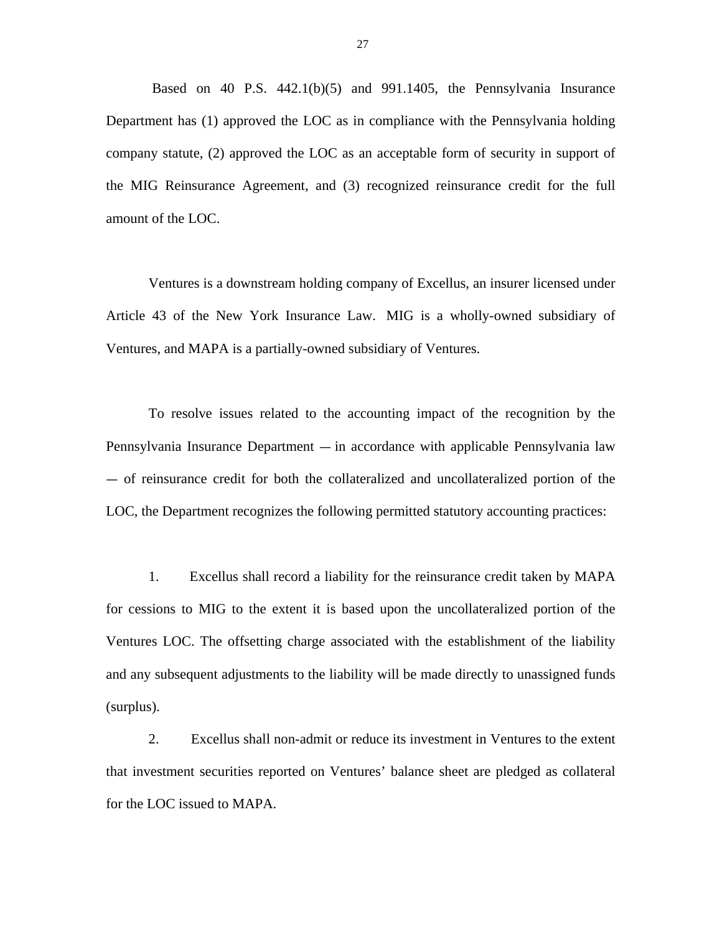Based on 40 P.S. 442.1(b)(5) and 991.1405, the Pennsylvania Insurance Department has (1) approved the LOC as in compliance with the Pennsylvania holding company statute, (2) approved the LOC as an acceptable form of security in support of the MIG Reinsurance Agreement, and (3) recognized reinsurance credit for the full amount of the LOC.

Ventures is a downstream holding company of Excellus, an insurer licensed under Article 43 of the New York Insurance Law. MIG is a wholly-owned subsidiary of Ventures, and MAPA is a partially-owned subsidiary of Ventures.

To resolve issues related to the accounting impact of the recognition by the Pennsylvania Insurance Department — in accordance with applicable Pennsylvania law — of reinsurance credit for both the collateralized and uncollateralized portion of the LOC, the Department recognizes the following permitted statutory accounting practices:

1. Excellus shall record a liability for the reinsurance credit taken by MAPA for cessions to MIG to the extent it is based upon the uncollateralized portion of the Ventures LOC. The offsetting charge associated with the establishment of the liability and any subsequent adjustments to the liability will be made directly to unassigned funds (surplus).

2. Excellus shall non-admit or reduce its investment in Ventures to the extent that investment securities reported on Ventures' balance sheet are pledged as collateral for the LOC issued to MAPA.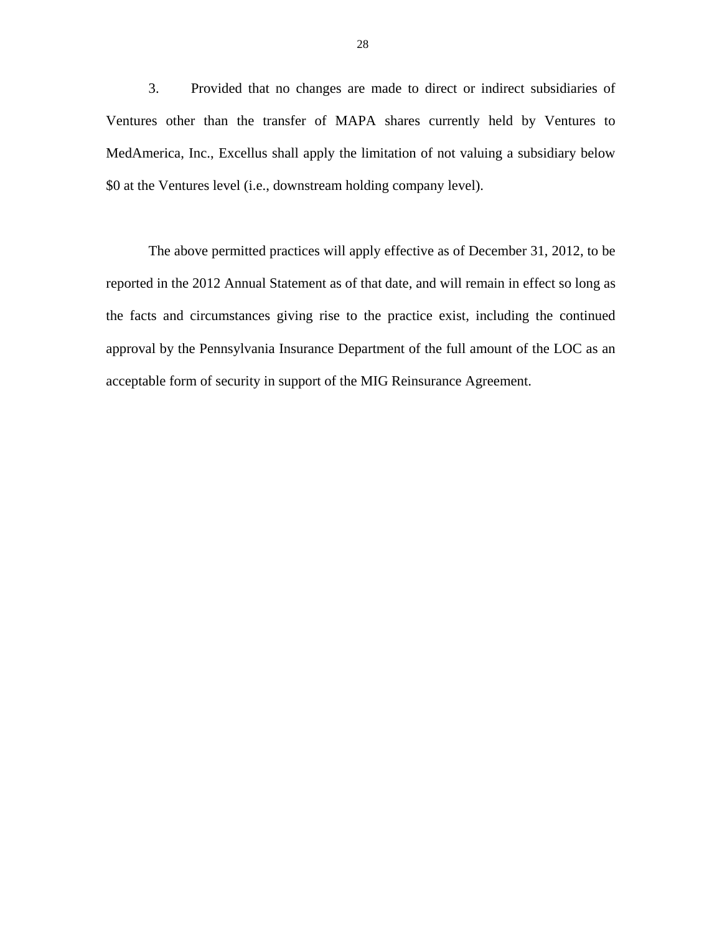3. Provided that no changes are made to direct or indirect subsidiaries of Ventures other than the transfer of MAPA shares currently held by Ventures to MedAmerica, Inc., Excellus shall apply the limitation of not valuing a subsidiary below \$0 at the Ventures level (i.e., downstream holding company level).

The above permitted practices will apply effective as of December 31, 2012, to be reported in the 2012 Annual Statement as of that date, and will remain in effect so long as the facts and circumstances giving rise to the practice exist, including the continued approval by the Pennsylvania Insurance Department of the full amount of the LOC as an acceptable form of security in support of the MIG Reinsurance Agreement.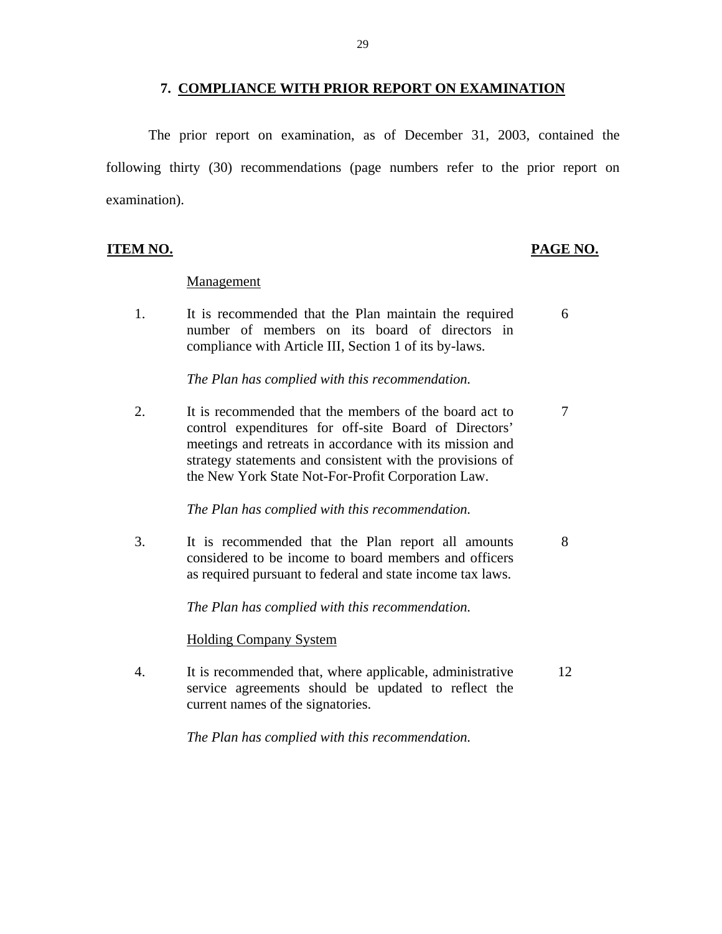#### **7. COMPLIANCE WITH PRIOR REPORT ON EXAMINATION**

<span id="page-30-0"></span>The prior report on examination, as of December 31, 2003, contained the following thirty (30) recommendations (page numbers refer to the prior report on examination).

#### **ITEM NO. PAGE NO.**

#### Management

1. It is recommended that the Plan maintain the required 6 number of members on its board of directors in compliance with Article III, Section 1 of its by-laws.

*The Plan has complied with this recommendation.* 

2. It is recommended that the members of the board act to 7 control expenditures for off-site Board of Directors' meetings and retreats in accordance with its mission and strategy statements and consistent with the provisions of the New York State Not-For-Profit Corporation Law.

*The Plan has complied with this recommendation.* 

3. It is recommended that the Plan report all amounts 8 considered to be income to board members and officers as required pursuant to federal and state income tax laws.

*The Plan has complied with this recommendation.* 

### Holding Company System

4. It is recommended that, where applicable, administrative 12 service agreements should be updated to reflect the current names of the signatories.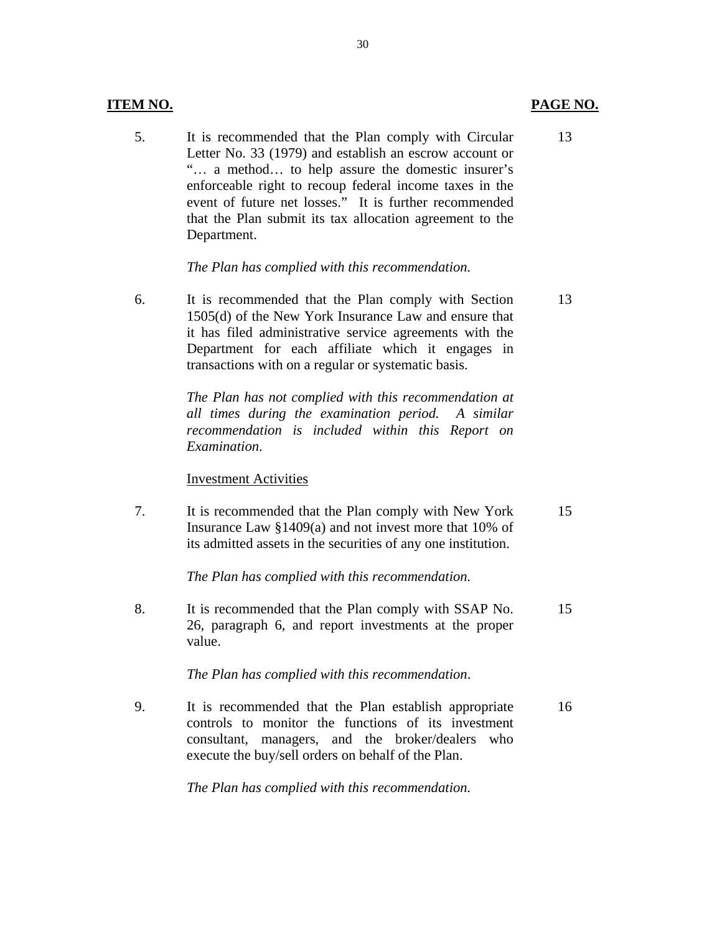#### **ITEM NO. PAGE NO.**

5. It is recommended that the Plan comply with Circular 13 Letter No. 33 (1979) and establish an escrow account or "… a method… to help assure the domestic insurer's enforceable right to recoup federal income taxes in the event of future net losses." It is further recommended that the Plan submit its tax allocation agreement to the Department.

#### *The Plan has complied with this recommendation.*

6. It is recommended that the Plan comply with Section 13 1505(d) of the New York Insurance Law and ensure that it has filed administrative service agreements with the Department for each affiliate which it engages in transactions with on a regular or systematic basis.

> *The Plan has not complied with this recommendation at all times during the examination period. A similar recommendation is included within this Report on Examination*.

#### **Investment Activities**

7. It is recommended that the Plan comply with New York 15 Insurance Law §1409(a) and not invest more that 10% of its admitted assets in the securities of any one institution.

*The Plan has complied with this recommendation.* 

8. It is recommended that the Plan comply with SSAP No. 15 26, paragraph 6, and report investments at the proper value.

*The Plan has complied with this recommendation*.

9. It is recommended that the Plan establish appropriate 16 controls to monitor the functions of its investment consultant, managers, and the broker/dealers who execute the buy/sell orders on behalf of the Plan.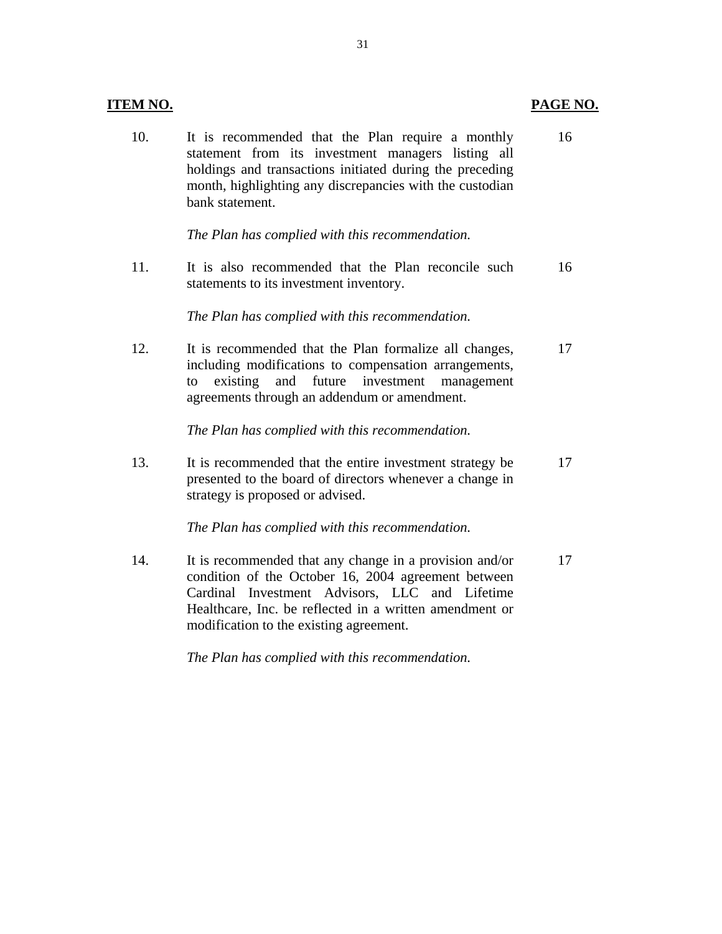| <b>ITEM NO.</b> |                                                                                                                                                                                                                                                                        | PAGE NO. |
|-----------------|------------------------------------------------------------------------------------------------------------------------------------------------------------------------------------------------------------------------------------------------------------------------|----------|
| 10.             | It is recommended that the Plan require a monthly<br>statement from its investment managers listing all<br>holdings and transactions initiated during the preceding<br>month, highlighting any discrepancies with the custodian<br>bank statement.                     | 16       |
|                 | The Plan has complied with this recommendation.                                                                                                                                                                                                                        |          |
| 11.             | It is also recommended that the Plan reconcile such<br>statements to its investment inventory.                                                                                                                                                                         | 16       |
|                 | The Plan has complied with this recommendation.                                                                                                                                                                                                                        |          |
| 12.             | It is recommended that the Plan formalize all changes,<br>including modifications to compensation arrangements,<br>existing<br>and future investment<br>management<br>to<br>agreements through an addendum or amendment.                                               | 17       |
|                 | The Plan has complied with this recommendation.                                                                                                                                                                                                                        |          |
| 13.             | It is recommended that the entire investment strategy be<br>presented to the board of directors whenever a change in<br>strategy is proposed or advised.                                                                                                               | 17       |
|                 | The Plan has complied with this recommendation.                                                                                                                                                                                                                        |          |
| 14.             | It is recommended that any change in a provision and/or<br>condition of the October 16, 2004 agreement between<br>Cardinal Investment Advisors, LLC and Lifetime<br>Healthcare, Inc. be reflected in a written amendment or<br>modification to the existing agreement. | 17       |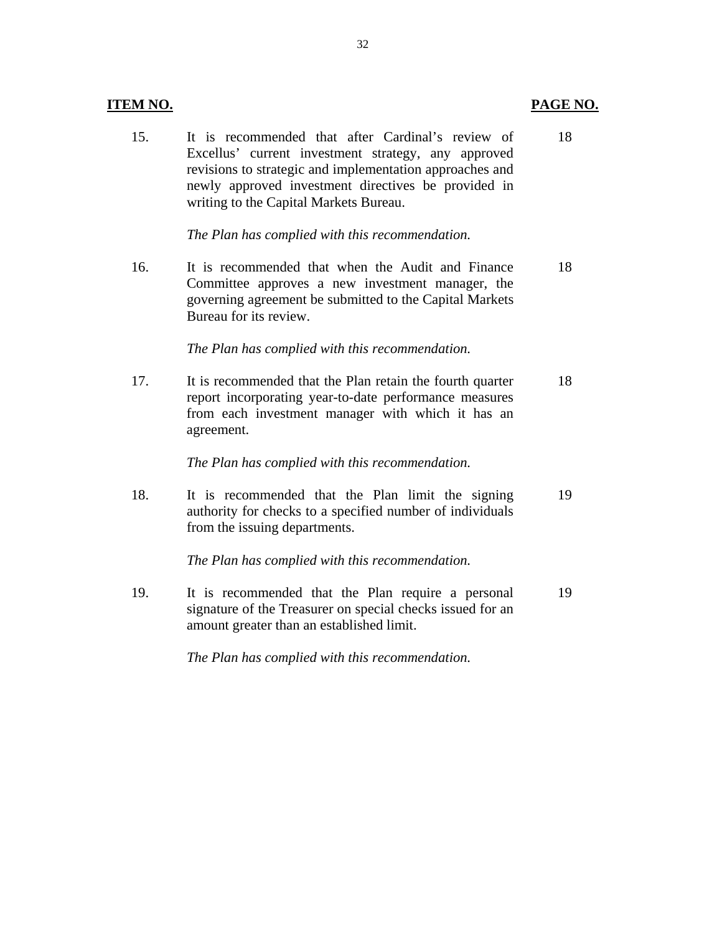#### **ITEM NO.**

15. It is recommended that after Cardinal's review of 18 Excellus' current investment strategy, any approved revisions to strategic and implementation approaches and newly approved investment directives be provided in writing to the Capital Markets Bureau.

*The Plan has complied with this recommendation.* 

16. It is recommended that when the Audit and Finance 18 Committee approves a new investment manager, the governing agreement be submitted to the Capital Markets Bureau for its review.

*The Plan has complied with this recommendation.* 

17. It is recommended that the Plan retain the fourth quarter 18 report incorporating year-to-date performance measures from each investment manager with which it has an agreement.

*The Plan has complied with this recommendation.* 

18. It is recommended that the Plan limit the signing 19 authority for checks to a specified number of individuals from the issuing departments.

*The Plan has complied with this recommendation.* 

19. It is recommended that the Plan require a personal 19 signature of the Treasurer on special checks issued for an amount greater than an established limit.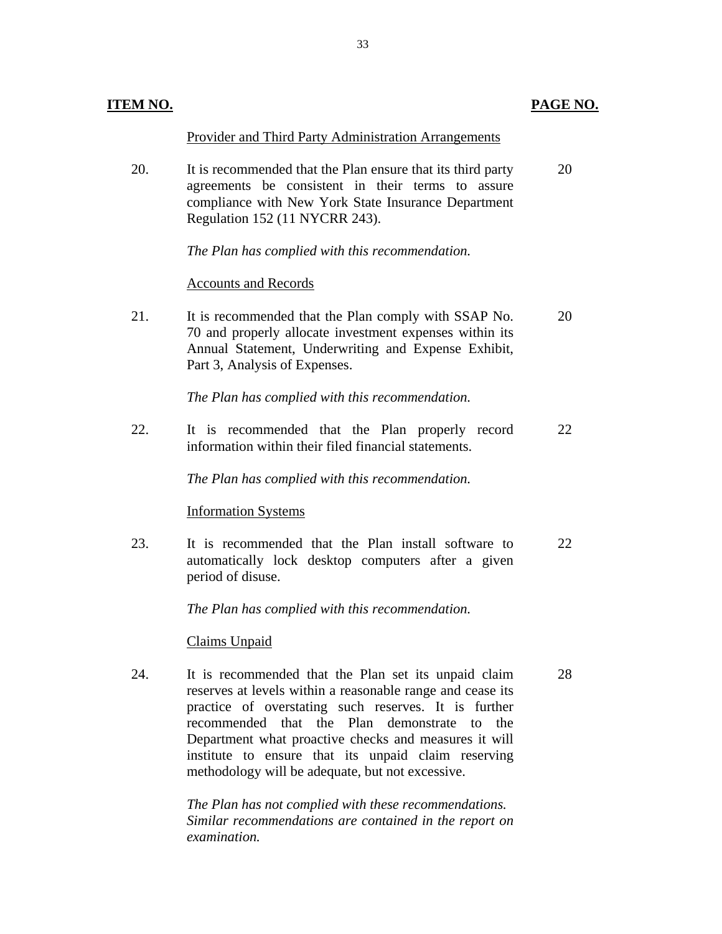| ITEM NO. |                                                                                                                                                                                                                                                                                                                                                                                                      | PAGE NO. |
|----------|------------------------------------------------------------------------------------------------------------------------------------------------------------------------------------------------------------------------------------------------------------------------------------------------------------------------------------------------------------------------------------------------------|----------|
|          | Provider and Third Party Administration Arrangements                                                                                                                                                                                                                                                                                                                                                 |          |
| 20.      | It is recommended that the Plan ensure that its third party<br>agreements be consistent in their terms to assure<br>compliance with New York State Insurance Department<br>Regulation 152 (11 NYCRR 243).                                                                                                                                                                                            | 20       |
|          | The Plan has complied with this recommendation.                                                                                                                                                                                                                                                                                                                                                      |          |
|          | <b>Accounts and Records</b>                                                                                                                                                                                                                                                                                                                                                                          |          |
| 21.      | It is recommended that the Plan comply with SSAP No.<br>70 and properly allocate investment expenses within its<br>Annual Statement, Underwriting and Expense Exhibit,<br>Part 3, Analysis of Expenses.                                                                                                                                                                                              | 20       |
|          | The Plan has complied with this recommendation.                                                                                                                                                                                                                                                                                                                                                      |          |
| 22.      | It is recommended that the Plan properly record<br>information within their filed financial statements.                                                                                                                                                                                                                                                                                              | 22       |
|          | The Plan has complied with this recommendation.                                                                                                                                                                                                                                                                                                                                                      |          |
|          | <b>Information Systems</b>                                                                                                                                                                                                                                                                                                                                                                           |          |
| 23.      | It is recommended that the Plan install software to<br>automatically lock desktop computers after a given<br>period of disuse.                                                                                                                                                                                                                                                                       | 22       |
|          | The Plan has complied with this recommendation.                                                                                                                                                                                                                                                                                                                                                      |          |
|          | Claims Unpaid                                                                                                                                                                                                                                                                                                                                                                                        |          |
| 24.      | It is recommended that the Plan set its unpaid claim<br>reserves at levels within a reasonable range and cease its<br>practice of overstating such reserves. It is further<br>recommended that the Plan demonstrate<br>the<br>tο<br>Department what proactive checks and measures it will<br>institute to ensure that its unpaid claim reserving<br>methodology will be adequate, but not excessive. | 28       |
|          | The Plan has not complied with these recommendations.<br>Similar recommendations are contained in the report on<br>examination.                                                                                                                                                                                                                                                                      |          |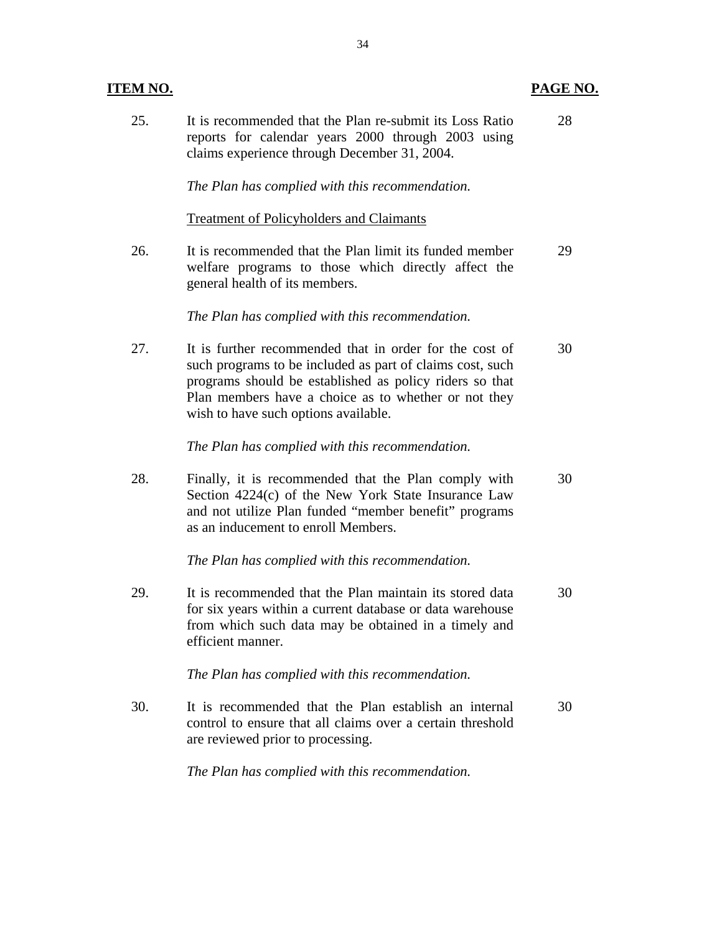## **ITEM NO. PAGE NO.**

| 25. | It is recommended that the Plan re-submit its Loss Ratio<br>reports for calendar years 2000 through 2003 using<br>claims experience through December 31, 2004.                                                                                                                  | 28 |
|-----|---------------------------------------------------------------------------------------------------------------------------------------------------------------------------------------------------------------------------------------------------------------------------------|----|
|     | The Plan has complied with this recommendation.                                                                                                                                                                                                                                 |    |
|     | <b>Treatment of Policyholders and Claimants</b>                                                                                                                                                                                                                                 |    |
| 26. | It is recommended that the Plan limit its funded member<br>welfare programs to those which directly affect the<br>general health of its members.                                                                                                                                | 29 |
|     | The Plan has complied with this recommendation.                                                                                                                                                                                                                                 |    |
| 27. | It is further recommended that in order for the cost of<br>such programs to be included as part of claims cost, such<br>programs should be established as policy riders so that<br>Plan members have a choice as to whether or not they<br>wish to have such options available. | 30 |
|     | The Plan has complied with this recommendation.                                                                                                                                                                                                                                 |    |
| 28. | Finally, it is recommended that the Plan comply with<br>Section 4224(c) of the New York State Insurance Law<br>and not utilize Plan funded "member benefit" programs<br>as an inducement to enroll Members.                                                                     | 30 |
|     | The Plan has complied with this recommendation.                                                                                                                                                                                                                                 |    |
| 29. | It is recommended that the Plan maintain its stored data<br>for six years within a current database or data warehouse<br>from which such data may be obtained in a timely and<br>efficient manner.                                                                              | 30 |
|     | The Plan has complied with this recommendation.                                                                                                                                                                                                                                 |    |
| 30. | It is recommended that the Plan establish an internal<br>control to ensure that all claims over a certain threshold<br>are reviewed prior to processing.                                                                                                                        | 30 |
|     | The Plan has complied with this recommendation.                                                                                                                                                                                                                                 |    |

34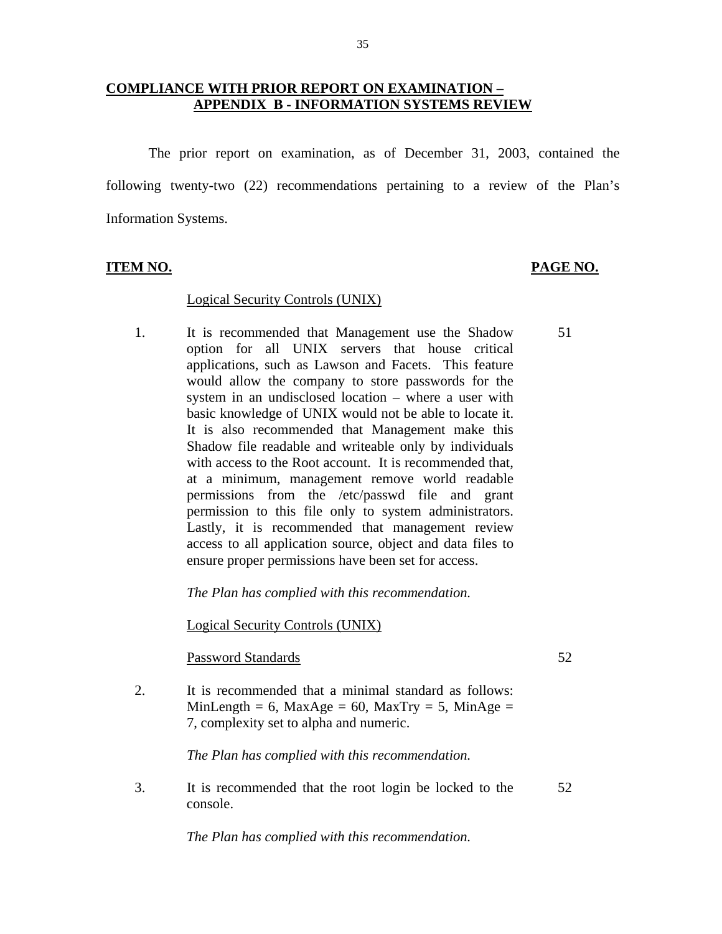### **COMPLIANCE WITH PRIOR REPORT ON EXAMINATION – APPENDIX B - INFORMATION SYSTEMS REVIEW**

The prior report on examination, as of December 31, 2003, contained the following twenty-two (22) recommendations pertaining to a review of the Plan's Information Systems.

#### **ITEM NO. PAGE NO.**

51

#### Logical Security Controls (UNIX)

permission to this file only to system administrators. 1. It is recommended that Management use the Shadow option for all UNIX servers that house critical applications, such as Lawson and Facets. This feature would allow the company to store passwords for the system in an undisclosed location – where a user with basic knowledge of UNIX would not be able to locate it. It is also recommended that Management make this Shadow file readable and writeable only by individuals with access to the Root account. It is recommended that, at a minimum, management remove world readable permissions from the /etc/passwd file and grant Lastly, it is recommended that management review access to all application source, object and data files to ensure proper permissions have been set for access.

*The Plan has complied with this recommendation.* 

Logical Security Controls (UNIX) Password Standards 52

2. It is recommended that a minimal standard as follows: MinLength = 6, MaxAge = 60, MaxTry = 5, MinAge = 7, complexity set to alpha and numeric.

*The Plan has complied with this recommendation.* 

3. It is recommended that the root login be locked to the console. 52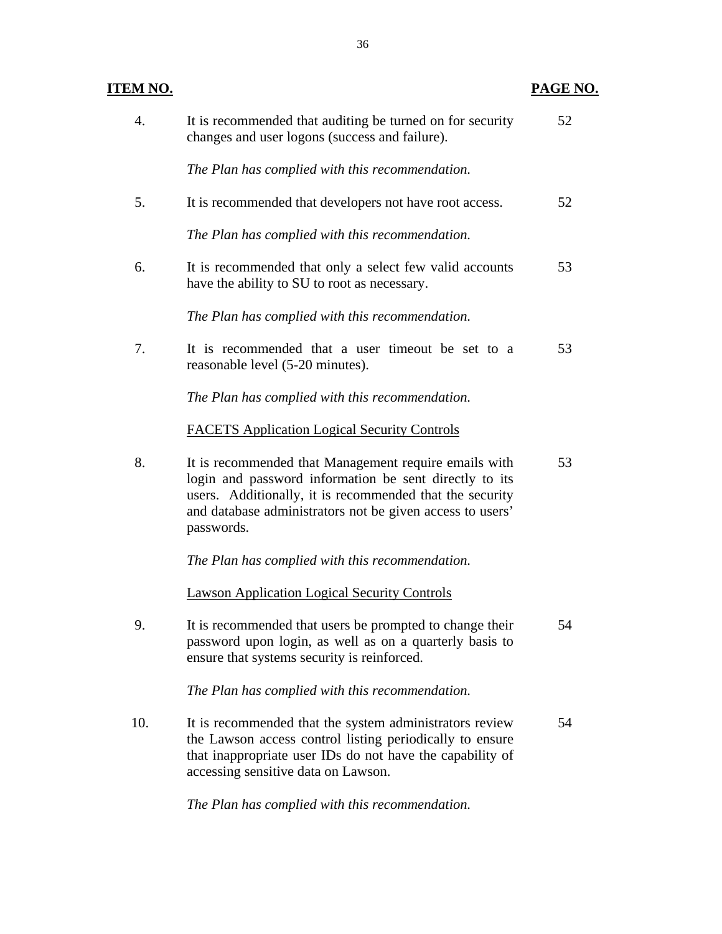| TEM NO.          |                                                                                                                                                                                                                                                        | PAGE NO. |
|------------------|--------------------------------------------------------------------------------------------------------------------------------------------------------------------------------------------------------------------------------------------------------|----------|
| $\overline{4}$ . | It is recommended that auditing be turned on for security<br>changes and user logons (success and failure).                                                                                                                                            | 52       |
|                  | The Plan has complied with this recommendation.                                                                                                                                                                                                        |          |
| 5.               | It is recommended that developers not have root access.                                                                                                                                                                                                | 52       |
|                  | The Plan has complied with this recommendation.                                                                                                                                                                                                        |          |
| 6.               | It is recommended that only a select few valid accounts<br>have the ability to SU to root as necessary.                                                                                                                                                | 53       |
|                  | The Plan has complied with this recommendation.                                                                                                                                                                                                        |          |
| 7.               | It is recommended that a user timeout be set to a<br>reasonable level (5-20 minutes).                                                                                                                                                                  | 53       |
|                  | The Plan has complied with this recommendation.                                                                                                                                                                                                        |          |
|                  | <b>FACETS Application Logical Security Controls</b>                                                                                                                                                                                                    |          |
| 8.               | It is recommended that Management require emails with<br>login and password information be sent directly to its<br>users. Additionally, it is recommended that the security<br>and database administrators not be given access to users'<br>passwords. | 53       |
|                  | The Plan has complied with this recommendation.                                                                                                                                                                                                        |          |
|                  | <b>Lawson Application Logical Security Controls</b>                                                                                                                                                                                                    |          |
| 9.               | It is recommended that users be prompted to change their<br>password upon login, as well as on a quarterly basis to<br>ensure that systems security is reinforced.                                                                                     | 54       |
|                  | The Plan has complied with this recommendation.                                                                                                                                                                                                        |          |
| 10.              | It is recommended that the system administrators review<br>the Lawson access control listing periodically to ensure<br>that inappropriate user IDs do not have the capability of<br>accessing sensitive data on Lawson.                                | 54       |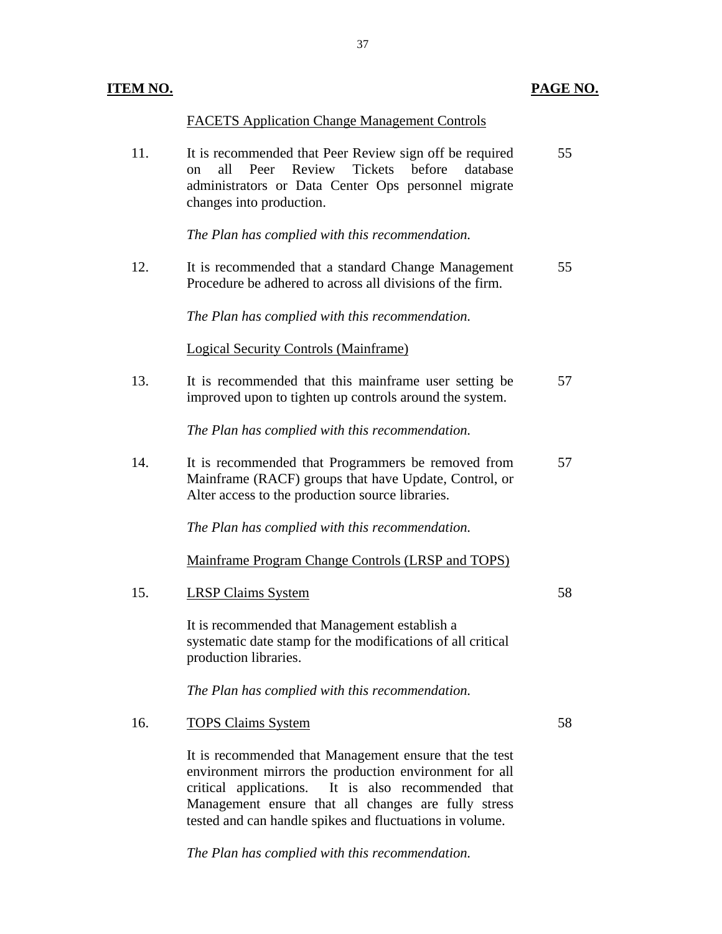## **ITEM NO. PAGE NO.**

|     | <b>FACETS Application Change Management Controls</b>                                                                                                                                              |    |
|-----|---------------------------------------------------------------------------------------------------------------------------------------------------------------------------------------------------|----|
| 11. | It is recommended that Peer Review sign off be required<br>Peer Review Tickets before<br>all<br>database<br>on<br>administrators or Data Center Ops personnel migrate<br>changes into production. | 55 |
|     | The Plan has complied with this recommendation.                                                                                                                                                   |    |
| 12. | It is recommended that a standard Change Management<br>Procedure be adhered to across all divisions of the firm.                                                                                  | 55 |
|     | The Plan has complied with this recommendation.                                                                                                                                                   |    |
|     | <b>Logical Security Controls (Mainframe)</b>                                                                                                                                                      |    |
| 13. | It is recommended that this mainframe user setting be<br>improved upon to tighten up controls around the system.                                                                                  | 57 |
|     | The Plan has complied with this recommendation.                                                                                                                                                   |    |
| 14. | It is recommended that Programmers be removed from<br>Mainframe (RACF) groups that have Update, Control, or<br>Alter access to the production source libraries.                                   | 57 |
|     | The Plan has complied with this recommendation.                                                                                                                                                   |    |
|     | Mainframe Program Change Controls (LRSP and TOPS)                                                                                                                                                 |    |
| 15. | <b>LRSP Claims System</b>                                                                                                                                                                         | 58 |
|     | It is recommended that Management establish a<br>systematic date stamp for the modifications of all critical<br>production libraries.                                                             |    |
|     | The Plan has complied with this recommendation.                                                                                                                                                   |    |
| 16. | <b>TOPS Claims System</b>                                                                                                                                                                         | 58 |
|     | It is recommended that Management ensure that the test<br>environment mirrors the production environment for all<br>critical applications. It is also recommended that                            |    |

Management ensure that all changes are fully stress tested and can handle spikes and fluctuations in volume.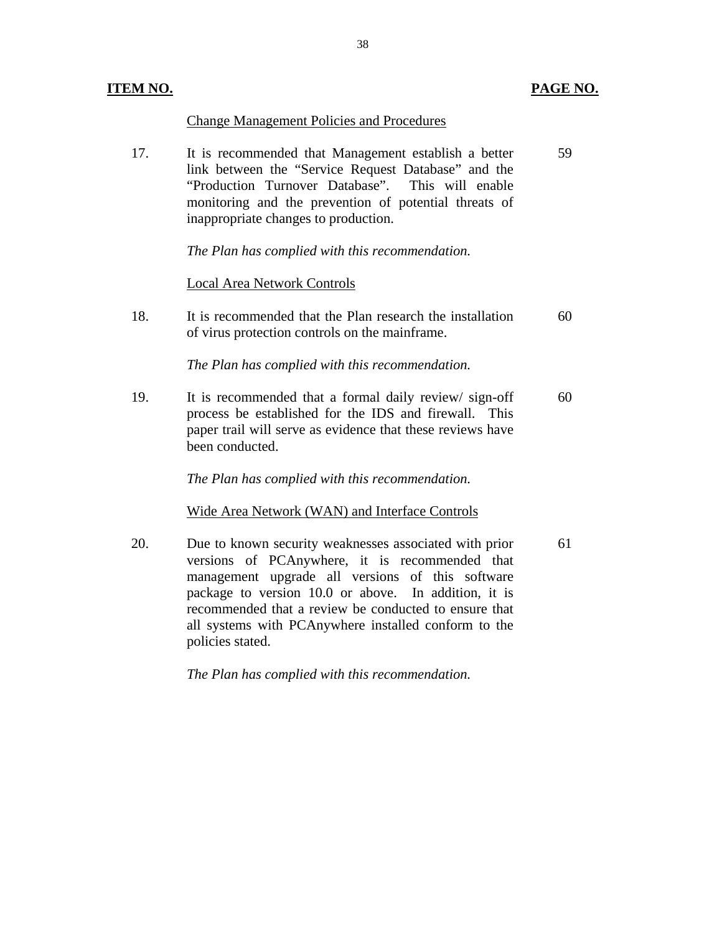| <b>ITEM NO.</b> |                                                                                                                                                                                                                                                                  | PAGE NO. |
|-----------------|------------------------------------------------------------------------------------------------------------------------------------------------------------------------------------------------------------------------------------------------------------------|----------|
|                 | <b>Change Management Policies and Procedures</b>                                                                                                                                                                                                                 |          |
| 17.             | It is recommended that Management establish a better<br>link between the "Service Request Database" and the<br>"Production Turnover Database". This will enable<br>monitoring and the prevention of potential threats of<br>inappropriate changes to production. | 59       |
|                 | The Plan has complied with this recommendation.                                                                                                                                                                                                                  |          |
|                 | <b>Local Area Network Controls</b>                                                                                                                                                                                                                               |          |
| 18.             | It is recommended that the Plan research the installation<br>of virus protection controls on the mainframe.                                                                                                                                                      | 60       |
|                 | The Plan has complied with this recommendation.                                                                                                                                                                                                                  |          |
| 19.             | It is recommended that a formal daily review/sign-off<br>process be established for the IDS and firewall. This<br>paper trail will serve as evidence that these reviews have<br>been conducted.                                                                  | 60       |
|                 | The Plan has complied with this recommendation.                                                                                                                                                                                                                  |          |
|                 | Wide Area Network (WAN) and Interface Controls                                                                                                                                                                                                                   |          |
| 20.             | Due to known security weaknesses associated with prior<br>versions of PCAnywhere, it is recommended that<br>management upgrade all versions of this software<br>estress to usuaism 10.0 on shows. In addition it is                                              | 61       |

package to version 10.0 or above. In addition, it is recommended that a review be conducted to ensure that all systems with PCAnywhere installed conform to the

*The Plan has complied with this recommendation.* 

policies stated.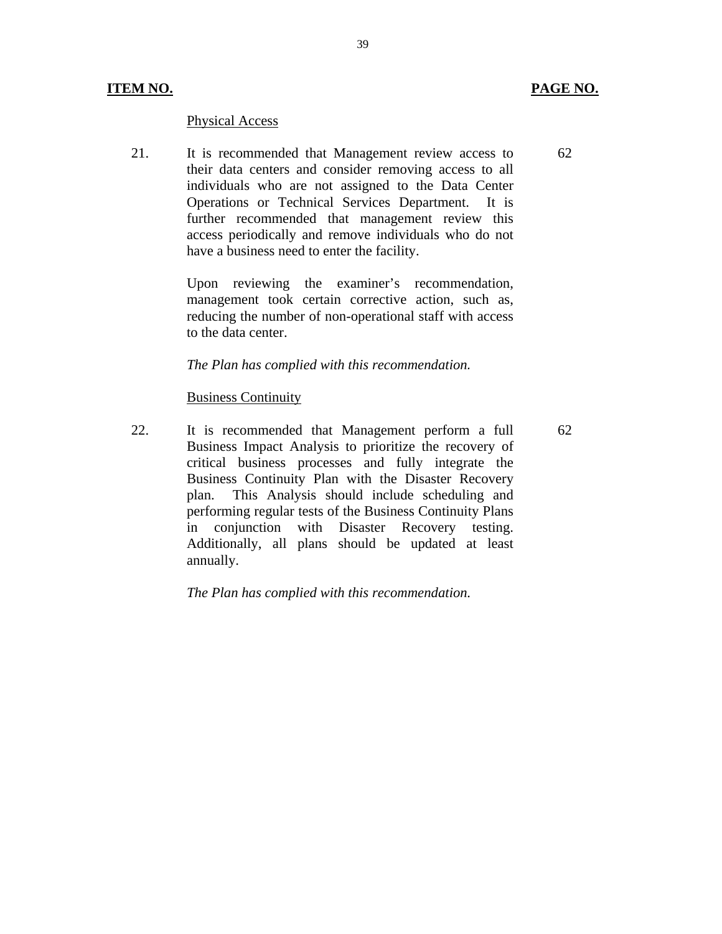## **ITEM NO. PAGE NO.**

#### **Physical Access**

21. It is recommended that Management review access to their data centers and consider removing access to all individuals who are not assigned to the Data Center Operations or Technical Services Department. It is further recommended that management review this access periodically and remove individuals who do not have a business need to enter the facility.

> Upon reviewing the examiner's recommendation, management took certain corrective action, such as, reducing the number of non-operational staff with access to the data center.

#### *The Plan has complied with this recommendation.*

#### **Business Continuity**

22. It is recommended that Management perform a full Business Impact Analysis to prioritize the recovery of critical business processes and fully integrate the Business Continuity Plan with the Disaster Recovery plan. This Analysis should include scheduling and performing regular tests of the Business Continuity Plans in conjunction with Disaster Recovery testing. Additionally, all plans should be updated at least annually.

*The Plan has complied with this recommendation.* 

62

62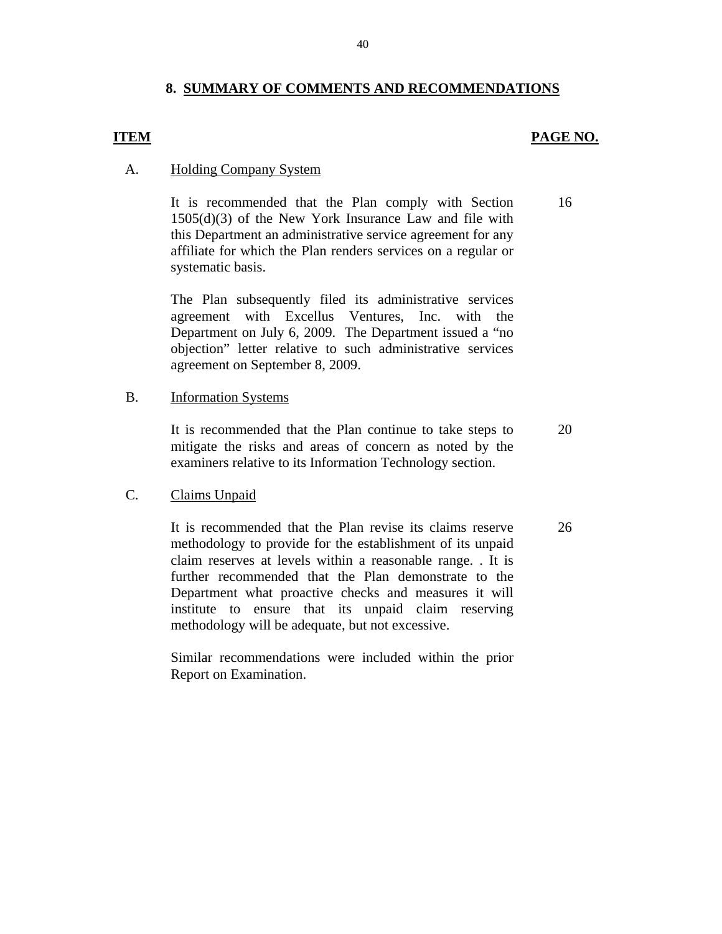### **8. SUMMARY OF COMMENTS AND RECOMMENDATIONS**

### **ITEM** PAGE NO.

16

#### A. Holding Company System

It is recommended that the Plan comply with Section 1505(d)(3) of the New York Insurance Law and file with this Department an administrative service agreement for any affiliate for which the Plan renders services on a regular or systematic basis.

The Plan subsequently filed its administrative services agreement with Excellus Ventures, Inc. with the Department on July 6, 2009. The Department issued a "no objection" letter relative to such administrative services agreement on September 8, 2009.

#### **Information Systems**

B. Information Systems<br>It is recommended that the Plan continue to take steps to mitigate the risks and areas of concern as noted by the examiners relative to its Information Technology section. 20

26

#### **Claims Unpaid**

C. Claims Unpaid<br>It is recommended that the Plan revise its claims reserve methodology to provide for the establishment of its unpaid claim reserves at levels within a reasonable range. . It is further recommended that the Plan demonstrate to the Department what proactive checks and measures it will institute to ensure that its unpaid claim reserving methodology will be adequate, but not excessive.

> Similar recommendations were included within the prior Report on Examination.